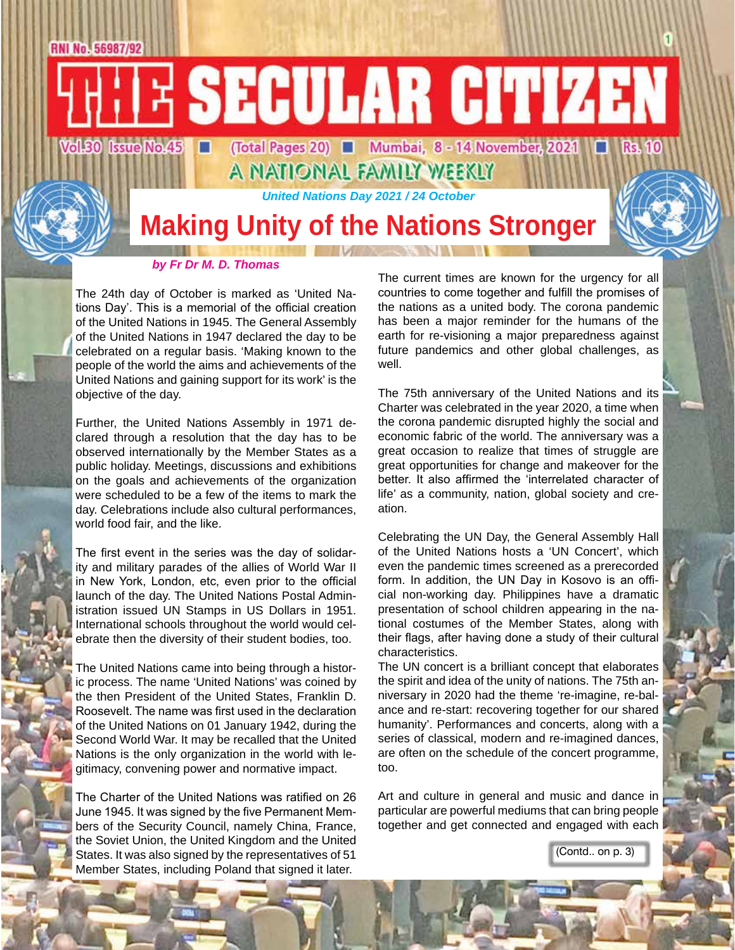E SECULAR CITIZEN  $Vol.30$  Issue  $No.45$   $\Box$ 

(Total Pages 20) **III** Mumbai, 8 - 14 November, 2021 **II** Rs. 10 A NATIONAL FAMILY WEEKLY

*United Nations Day 2021 / 24 October*

**Making Unity of the Nations Stronger**

*by Fr Dr M. D. Thomas*

RNI No. 56987/92

The 24th day of October is marked as 'United Nations Day'. This is a memorial of the official creation of the United Nations in 1945. The General Assembly of the United Nations in 1947 declared the day to be celebrated on a regular basis. 'Making known to the people of the world the aims and achievements of the United Nations and gaining support for its work' is the objective of the day.

Further, the United Nations Assembly in 1971 declared through a resolution that the day has to be observed internationally by the Member States as a public holiday. Meetings, discussions and exhibitions on the goals and achievements of the organization were scheduled to be a few of the items to mark the day. Celebrations include also cultural performances, world food fair, and the like.

The first event in the series was the day of solidarity and military parades of the allies of World War II in New York, London, etc, even prior to the official launch of the day. The United Nations Postal Administration issued UN Stamps in US Dollars in 1951. International schools throughout the world would celebrate then the diversity of their student bodies, too.

The United Nations came into being through a historic process. The name 'United Nations' was coined by the then President of the United States, Franklin D. Roosevelt. The name was first used in the declaration of the United Nations on 01 January 1942, during the Second World War. It may be recalled that the United Nations is the only organization in the world with legitimacy, convening power and normative impact.

The Charter of the United Nations was ratified on 26 June 1945. It was signed by the five Permanent Members of the Security Council, namely China, France, the Soviet Union, the United Kingdom and the United States. It was also signed by the representatives of 51 Member States, including Poland that signed it later.

The current times are known for the urgency for all countries to come together and fulfill the promises of the nations as a united body. The corona pandemic has been a major reminder for the humans of the earth for re-visioning a major preparedness against future pandemics and other global challenges, as well.

The 75th anniversary of the United Nations and its Charter was celebrated in the year 2020, a time when the corona pandemic disrupted highly the social and economic fabric of the world. The anniversary was a great occasion to realize that times of struggle are great opportunities for change and makeover for the better. It also affirmed the 'interrelated character of life' as a community, nation, global society and creation.

Celebrating the UN Day, the General Assembly Hall of the United Nations hosts a 'UN Concert', which even the pandemic times screened as a prerecorded form. In addition, the UN Day in Kosovo is an official non-working day. Philippines have a dramatic presentation of school children appearing in the national costumes of the Member States, along with their flags, after having done a study of their cultural characteristics.

The UN concert is a brilliant concept that elaborates the spirit and idea of the unity of nations. The 75th anniversary in 2020 had the theme 're-imagine, re-balance and re-start: recovering together for our shared humanity'. Performances and concerts, along with a series of classical, modern and re-imagined dances, are often on the schedule of the concert programme, too.

Art and culture in general and music and dance in particular are powerful mediums that can bring people together and get connected and engaged with each

(Contd.. on p. 3)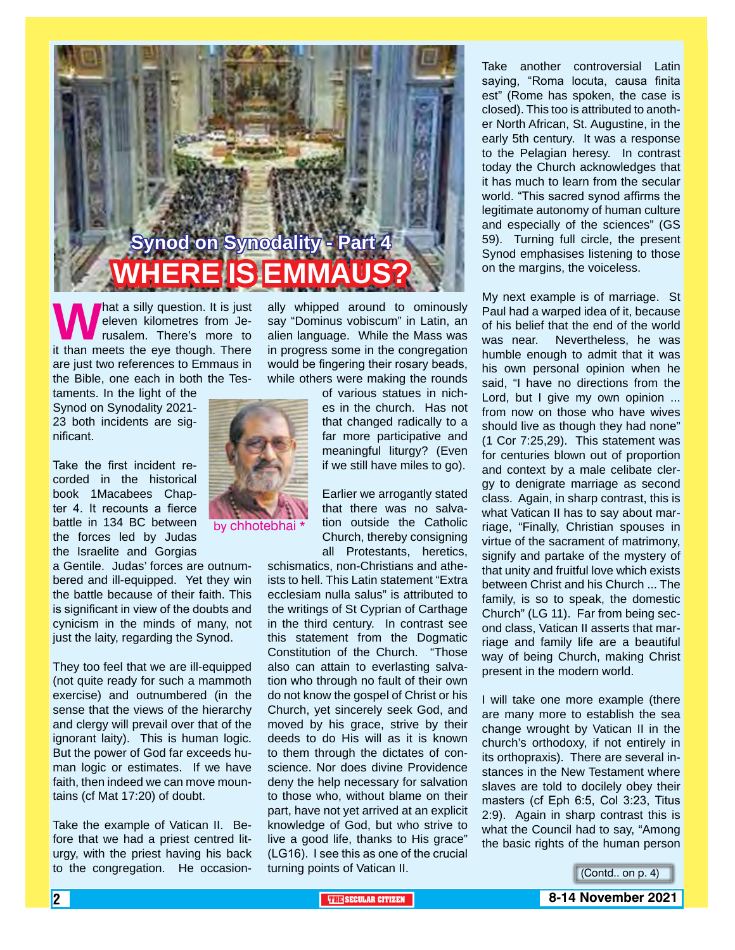

**What a silly question. It is just** eleven kilometres from Jerusalem. There's more to it than meets the eye though. There eleven kilometres from Jerusalem. There's more to are just two references to Emmaus in the Bible, one each in both the Tes-

taments. In the light of the Synod on Synodality 2021- 23 both incidents are significant.

Take the first incident recorded in the historical book 1Macabees Chapter 4. It recounts a fierce battle in 134 BC between the forces led by Judas the Israelite and Gorgias

a Gentile. Judas' forces are outnumbered and ill-equipped. Yet they win the battle because of their faith. This is significant in view of the doubts and cynicism in the minds of many, not just the laity, regarding the Synod.

They too feel that we are ill-equipped (not quite ready for such a mammoth exercise) and outnumbered (in the sense that the views of the hierarchy and clergy will prevail over that of the ignorant laity). This is human logic. But the power of God far exceeds human logic or estimates. If we have faith, then indeed we can move mountains (cf Mat 17:20) of doubt.

Take the example of Vatican II. Before that we had a priest centred liturgy, with the priest having his back to the congregation. He occasionally whipped around to ominously say "Dominus vobiscum" in Latin, an alien language. While the Mass was in progress some in the congregation would be fingering their rosary beads, while others were making the rounds

> of various statues in niches in the church. Has not that changed radically to a far more participative and meaningful liturgy? (Even if we still have miles to go).

> Earlier we arrogantly stated that there was no salvation outside the Catholic Church, thereby consigning all Protestants, heretics,

schismatics, non-Christians and atheists to hell. This Latin statement "Extra ecclesiam nulla salus" is attributed to the writings of St Cyprian of Carthage in the third century. In contrast see this statement from the Dogmatic Constitution of the Church. "Those also can attain to everlasting salvation who through no fault of their own do not know the gospel of Christ or his Church, yet sincerely seek God, and moved by his grace, strive by their deeds to do His will as it is known to them through the dictates of conscience. Nor does divine Providence deny the help necessary for salvation to those who, without blame on their part, have not yet arrived at an explicit knowledge of God, but who strive to live a good life, thanks to His grace" (LG16). I see this as one of the crucial turning points of Vatican II.

Take another controversial Latin saying, "Roma locuta, causa finita est" (Rome has spoken, the case is closed). This too is attributed to another North African, St. Augustine, in the early 5th century. It was a response to the Pelagian heresy. In contrast today the Church acknowledges that it has much to learn from the secular world. "This sacred synod affirms the legitimate autonomy of human culture and especially of the sciences" (GS 59). Turning full circle, the present Synod emphasises listening to those on the margins, the voiceless.

My next example is of marriage. St Paul had a warped idea of it, because of his belief that the end of the world was near. Nevertheless, he was humble enough to admit that it was his own personal opinion when he said, "I have no directions from the Lord, but I give my own opinion ... from now on those who have wives should live as though they had none" (1 Cor 7:25,29). This statement was for centuries blown out of proportion and context by a male celibate clergy to denigrate marriage as second class. Again, in sharp contrast, this is what Vatican II has to say about marriage, "Finally, Christian spouses in virtue of the sacrament of matrimony, signify and partake of the mystery of that unity and fruitful love which exists between Christ and his Church ... The family, is so to speak, the domestic Church" (LG 11). Far from being second class, Vatican II asserts that marriage and family life are a beautiful way of being Church, making Christ present in the modern world.

I will take one more example (there are many more to establish the sea change wrought by Vatican II in the church's orthodoxy, if not entirely in its orthopraxis). There are several instances in the New Testament where slaves are told to docilely obey their masters (cf Eph 6:5, Col 3:23, Titus 2:9). Again in sharp contrast this is what the Council had to say, "Among the basic rights of the human person

(Contd.. on p. 4)



by chhotebhai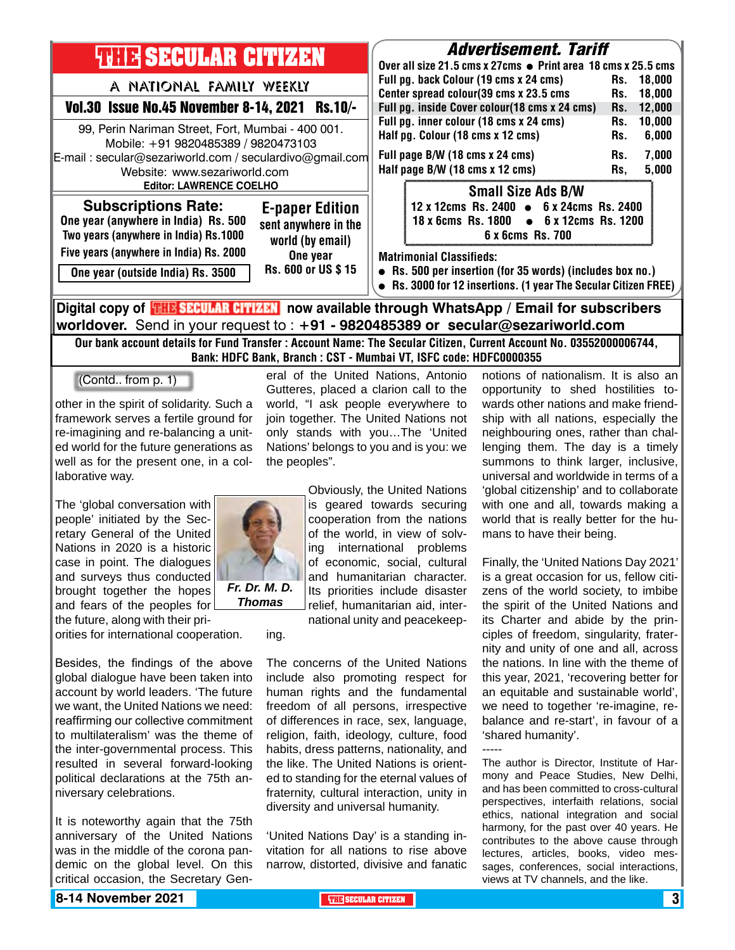

Our bank account details for Fund Transfer : Account Name: The Secular Citizen, Current Account No. 03552000006744, Bank: HDFC Bank, Branch : CST - Mumbai VT, ISFC code: HDFC0000355

> eral of the United Nations, Antonio Gutteres, placed a clarion call to the world, "I ask people everywhere to join together. The United Nations not only stands with you…The 'United Nations' belongs to you and is you: we

(Contd.. from p. 1)

other in the spirit of solidarity. Such a framework serves a fertile ground for re-imagining and re-balancing a united world for the future generations as well as for the present one, in a collaborative way.

The 'global conversation with people' initiated by the Secretary General of the United Nations in 2020 is a historic case in point. The dialogues and surveys thus conducted brought together the hopes and fears of the peoples for the future, along with their pri-

orities for international cooperation.

Besides, the findings of the above global dialogue have been taken into account by world leaders. 'The future we want, the United Nations we need: reaffirming our collective commitment to multilateralism' was the theme of the inter-governmental process. This resulted in several forward-looking political declarations at the 75th anniversary celebrations.

It is noteworthy again that the 75th anniversary of the United Nations was in the middle of the corona pandemic on the global level. On this critical occasion, the Secretary Gen-

the peoples".

ing.

Obviously, the United Nations is geared towards securing cooperation from the nations of the world, in view of solving international problems of economic, social, cultural and humanitarian character. Its priorities include disaster relief, humanitarian aid, international unity and peacekeep-

The concerns of the United Nations include also promoting respect for human rights and the fundamental freedom of all persons, irrespective of differences in race, sex, language, religion, faith, ideology, culture, food habits, dress patterns, nationality, and the like. The United Nations is oriented to standing for the eternal values of fraternity, cultural interaction, unity in diversity and universal humanity.

'United Nations Day' is a standing invitation for all nations to rise above narrow, distorted, divisive and fanatic notions of nationalism. It is also an opportunity to shed hostilities towards other nations and make friendship with all nations, especially the neighbouring ones, rather than challenging them. The day is a timely summons to think larger, inclusive, universal and worldwide in terms of a 'global citizenship' and to collaborate with one and all, towards making a world that is really better for the humans to have their being.

Finally, the 'United Nations Day 2021' is a great occasion for us, fellow citizens of the world society, to imbibe the spirit of the United Nations and its Charter and abide by the principles of freedom, singularity, fraternity and unity of one and all, across the nations. In line with the theme of this year, 2021, 'recovering better for an equitable and sustainable world', we need to together 're-imagine, rebalance and re-start', in favour of a 'shared humanity'.

The author is Director, Institute of Harmony and Peace Studies, New Delhi, and has been committed to cross-cultural perspectives, interfaith relations, social ethics, national integration and social harmony, for the past over 40 years. He contributes to the above cause through lectures, articles, books, video messages, conferences, social interactions, views at TV channels, and the like.

-----

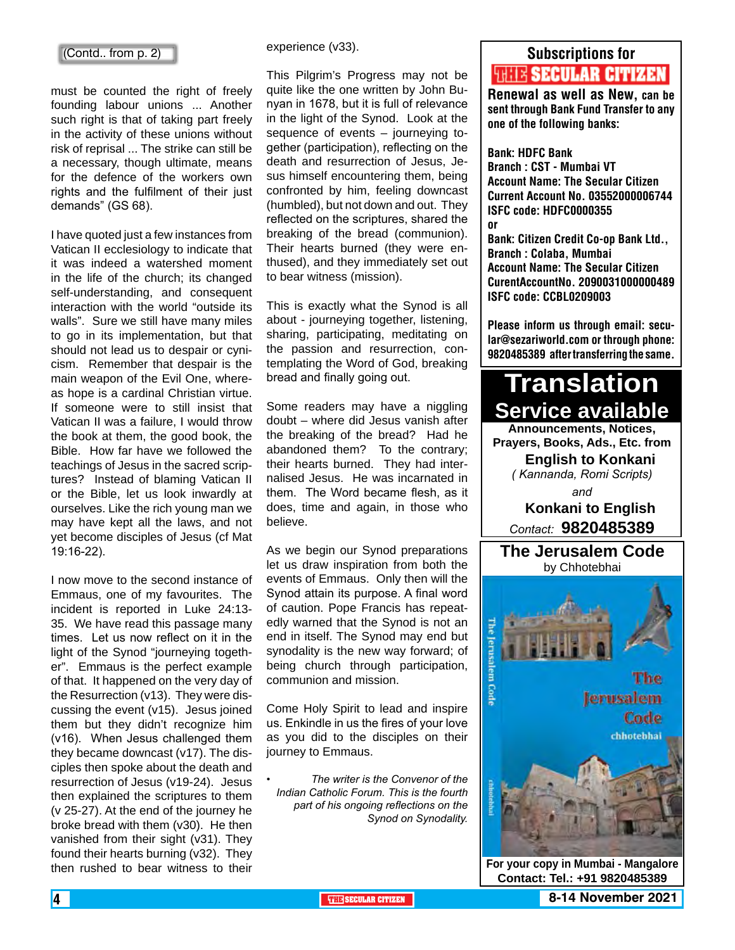must be counted the right of freely founding labour unions ... Another such right is that of taking part freely in the activity of these unions without risk of reprisal ... The strike can still be a necessary, though ultimate, means for the defence of the workers own rights and the fulfilment of their just demands" (GS 68).

I have quoted just a few instances from Vatican II ecclesiology to indicate that it was indeed a watershed moment in the life of the church; its changed self-understanding, and consequent interaction with the world "outside its walls". Sure we still have many miles to go in its implementation, but that should not lead us to despair or cynicism. Remember that despair is the main weapon of the Evil One, whereas hope is a cardinal Christian virtue. If someone were to still insist that Vatican II was a failure, I would throw the book at them, the good book, the Bible. How far have we followed the teachings of Jesus in the sacred scriptures? Instead of blaming Vatican II or the Bible, let us look inwardly at ourselves. Like the rich young man we may have kept all the laws, and not yet become disciples of Jesus (cf Mat 19:16-22).

I now move to the second instance of Emmaus, one of my favourites. The incident is reported in Luke 24:13- 35. We have read this passage many times. Let us now reflect on it in the light of the Synod "journeying together". Emmaus is the perfect example of that. It happened on the very day of the Resurrection (v13). They were discussing the event (v15). Jesus joined them but they didn't recognize him (v16). When Jesus challenged them they became downcast (v17). The disciples then spoke about the death and resurrection of Jesus (v19-24). Jesus then explained the scriptures to them (v 25-27). At the end of the journey he broke bread with them (v30). He then vanished from their sight (v31). They found their hearts burning (v32). They then rushed to bear witness to their

experience (v33).

This Pilgrim's Progress may not be quite like the one written by John Bunyan in 1678, but it is full of relevance in the light of the Synod. Look at the sequence of events – journeying together (participation), reflecting on the death and resurrection of Jesus, Jesus himself encountering them, being confronted by him, feeling downcast (humbled), but not down and out. They reflected on the scriptures, shared the breaking of the bread (communion). Their hearts burned (they were enthused), and they immediately set out to bear witness (mission).

This is exactly what the Synod is all about - journeying together, listening, sharing, participating, meditating on the passion and resurrection, contemplating the Word of God, breaking bread and finally going out.

Some readers may have a niggling doubt – where did Jesus vanish after the breaking of the bread? Had he abandoned them? To the contrary; their hearts burned. They had internalised Jesus. He was incarnated in them. The Word became flesh, as it does, time and again, in those who believe.

As we begin our Synod preparations let us draw inspiration from both the events of Emmaus. Only then will the Synod attain its purpose. A final word of caution. Pope Francis has repeatedly warned that the Synod is not an end in itself. The Synod may end but synodality is the new way forward; of being church through participation. communion and mission.

Come Holy Spirit to lead and inspire us. Enkindle in us the fires of your love as you did to the disciples on their journey to Emmaus.

*• The writer is the Convenor of the Indian Catholic Forum. This is the fourth part of his ongoing reflections on the Synod on Synodality.*

### Subscriptions for

# **RENEW SECULAR CITIZEN**<br>Renewal as well as New, can be

sent through Bank Fund Transfer to any one of the following banks:

Bank: HDFC Bank

Branch : CST - Mumbai VT Account Name: The Secular Citizen Current Account No. 03552000006744 ISFC code: HDFC0000355 or Bank: Citizen Credit Co-op Bank Ltd., Branch : Colaba, Mumbai Account Name: The Secular Citizen CurentAccountNo. 2090031000000489 ISFC code: CCBL0209003

Please inform us through email: secular@sezariworld.com or through phone: 9820485389 after transferring the same.

# **Translation Service available Announcements, Notices,**

**Prayers, Books, Ads., Etc. from English to Konkani** *( Kannanda, Romi Scripts) and* **Konkani to English** *Contact:* **9820485389**

**The Jerusalem Code** by Chhotebhai

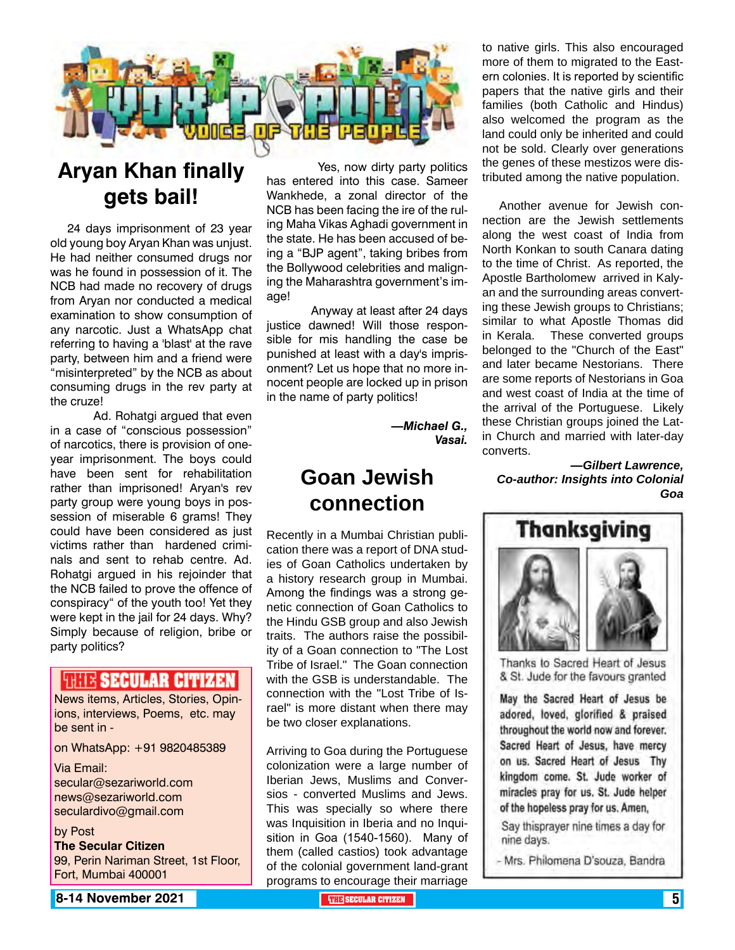

# **Aryan Khan finally gets bail!**

24 days imprisonment of 23 year old young boy Aryan Khan was unjust. He had neither consumed drugs nor was he found in possession of it. The NCB had made no recovery of drugs from Aryan nor conducted a medical examination to show consumption of any narcotic. Just a WhatsApp chat referring to having a 'blast' at the rave party, between him and a friend were "misinterpreted" by the NCB as about consuming drugs in the rev party at the cruze!

 Ad. Rohatgi argued that even in a case of "conscious possession" of narcotics, there is provision of oneyear imprisonment. The boys could have been sent for rehabilitation rather than imprisoned! Aryan's rev party group were young boys in possession of miserable 6 grams! They could have been considered as just victims rather than hardened criminals and sent to rehab centre. Ad. Rohatgi argued in his rejoinder that the NCB failed to prove the offence of conspiracy" of the youth too! Yet they were kept in the jail for 24 days. Why? Simply because of religion, bribe or party politics?

### **THIR SECULAR CITIZEN**

News items, Articles, Stories, Opinions, interviews, Poems, etc. may be sent in -

on WhatsApp: +91 9820485389

Via Email: secular@sezariworld.com news@sezariworld.com seculardivo@gmail.com

by Post **The Secular Citizen** 99, Perin Nariman Street, 1st Floor, Fort, Mumbai 400001

 Yes, now dirty party politics has entered into this case. Sameer Wankhede, a zonal director of the NCB has been facing the ire of the ruling Maha Vikas Aghadi government in the state. He has been accused of being a "BJP agent", taking bribes from the Bollywood celebrities and maligning the Maharashtra government's image!

 Anyway at least after 24 days justice dawned! Will those responsible for mis handling the case be punished at least with a day's imprisonment? Let us hope that no more innocent people are locked up in prison in the name of party politics!

> *—Michael G., Vasai.*

## **Goan Jewish connection**

Recently in a Mumbai Christian publication there was a report of DNA studies of Goan Catholics undertaken by a history research group in Mumbai. Among the findings was a strong genetic connection of Goan Catholics to the Hindu GSB group and also Jewish traits. The authors raise the possibility of a Goan connection to "The Lost Tribe of Israel." The Goan connection with the GSB is understandable. The connection with the "Lost Tribe of Israel" is more distant when there may be two closer explanations.

Arriving to Goa during the Portuguese colonization were a large number of Iberian Jews, Muslims and Conversios - converted Muslims and Jews. This was specially so where there was Inquisition in Iberia and no Inquisition in Goa (1540-1560). Many of them (called castios) took advantage of the colonial government land-grant programs to encourage their marriage

to native girls. This also encouraged more of them to migrated to the Eastern colonies. It is reported by scientific papers that the native girls and their families (both Catholic and Hindus) also welcomed the program as the land could only be inherited and could not be sold. Clearly over generations the genes of these mestizos were distributed among the native population.

Another avenue for Jewish connection are the Jewish settlements along the west coast of India from North Konkan to south Canara dating to the time of Christ. As reported, the Apostle Bartholomew arrived in Kalyan and the surrounding areas converting these Jewish groups to Christians; similar to what Apostle Thomas did in Kerala. These converted groups belonged to the "Church of the East" and later became Nestorians. There are some reports of Nestorians in Goa and west coast of India at the time of the arrival of the Portuguese. Likely these Christian groups joined the Latin Church and married with later-day converts.

*—Gilbert Lawrence, Co-author: Insights into Colonial Goa*



Thanks to Sacred Heart of Jesus & St. Jude for the favours granted

May the Sacred Heart of Jesus be adored, loved, glorified & praised throughout the world now and forever. Sacred Heart of Jesus, have mercy on us. Sacred Heart of Jesus Thy kingdom come. St. Jude worker of miracles pray for us. St. Jude helper of the hopeless pray for us. Amen,

Say thisprayer nine times a day for nine days.

- Mrs. Philomena D'souza, Bandra

**8-14 November 2021 The Secular Citizen 5 and Secular Citizen 5 and Secular Citizen 5 and Secular Citizen 5 and S**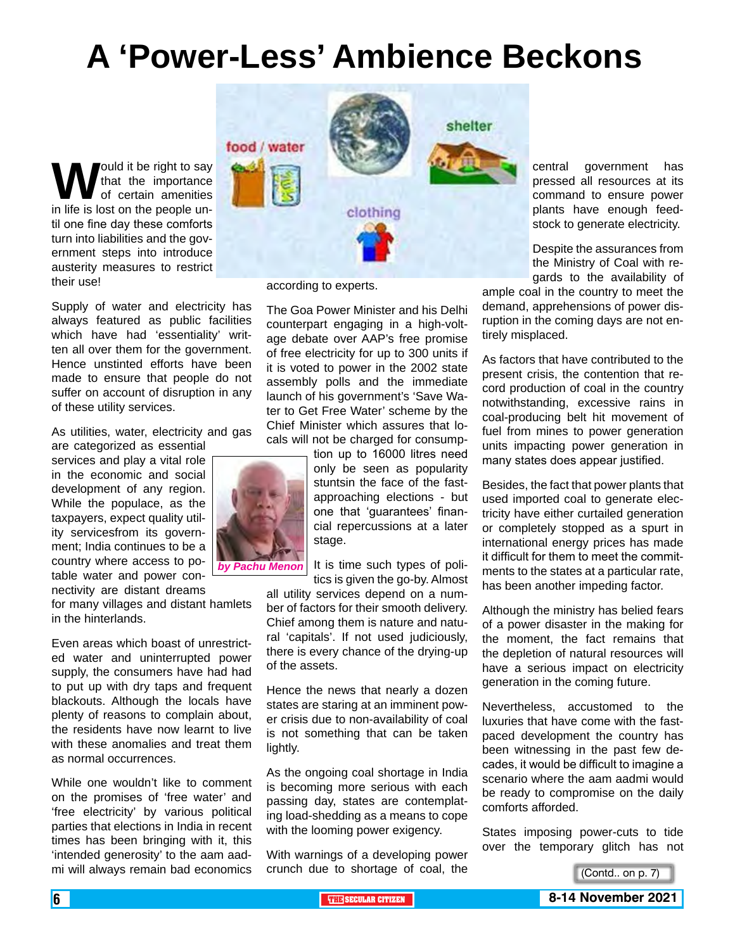# **A 'Power-Less' Ambience Beckons**

**W**ould it be right to say<br>that the importance<br>in life is lost on the people unthat the importance of certain amenities til one fine day these comforts turn into liabilities and the government steps into introduce austerity measures to restrict their use!

Supply of water and electricity has always featured as public facilities which have had 'essentiality' written all over them for the government. Hence unstinted efforts have been made to ensure that people do not suffer on account of disruption in any of these utility services.

As utilities, water, electricity and gas

are categorized as essential services and play a vital role in the economic and social development of any region. While the populace, as the taxpayers, expect quality utility servicesfrom its government; India continues to be a country where access to potable water and power connectivity are distant dreams

for many villages and distant hamlets in the hinterlands.

Even areas which boast of unrestricted water and uninterrupted power supply, the consumers have had had to put up with dry taps and frequent blackouts. Although the locals have plenty of reasons to complain about, the residents have now learnt to live with these anomalies and treat them as normal occurrences.

While one wouldn't like to comment on the promises of 'free water' and 'free electricity' by various political parties that elections in India in recent times has been bringing with it, this 'intended generosity' to the aam aadmi will always remain bad economics



according to experts.

The Goa Power Minister and his Delhi counterpart engaging in a high-voltage debate over AAP's free promise of free electricity for up to 300 units if it is voted to power in the 2002 state assembly polls and the immediate launch of his government's 'Save Water to Get Free Water' scheme by the Chief Minister which assures that locals will not be charged for consump-

tion up to 16000 litres need only be seen as popularity stuntsin the face of the fastapproaching elections - but one that 'guarantees' financial repercussions at a later stage.

*by Pachu Menon*

It is time such types of politics is given the go-by. Almost

all utility services depend on a number of factors for their smooth delivery. Chief among them is nature and natural 'capitals'. If not used judiciously, there is every chance of the drying-up of the assets.

Hence the news that nearly a dozen states are staring at an imminent power crisis due to non-availability of coal is not something that can be taken lightly.

As the ongoing coal shortage in India is becoming more serious with each passing day, states are contemplating load-shedding as a means to cope with the looming power exigency.

With warnings of a developing power crunch due to shortage of coal, the central government has pressed all resources at its command to ensure power plants have enough feedstock to generate electricity.

Despite the assurances from the Ministry of Coal with regards to the availability of

ample coal in the country to meet the demand, apprehensions of power disruption in the coming days are not entirely misplaced.

As factors that have contributed to the present crisis, the contention that record production of coal in the country notwithstanding, excessive rains in coal-producing belt hit movement of fuel from mines to power generation units impacting power generation in many states does appear justified.

Besides, the fact that power plants that used imported coal to generate electricity have either curtailed generation or completely stopped as a spurt in international energy prices has made it difficult for them to meet the commitments to the states at a particular rate, has been another impeding factor.

Although the ministry has belied fears of a power disaster in the making for the moment, the fact remains that the depletion of natural resources will have a serious impact on electricity generation in the coming future.

Nevertheless, accustomed to the luxuries that have come with the fastpaced development the country has been witnessing in the past few decades, it would be difficult to imagine a scenario where the aam aadmi would be ready to compromise on the daily comforts afforded.

States imposing power-cuts to tide over the temporary glitch has not

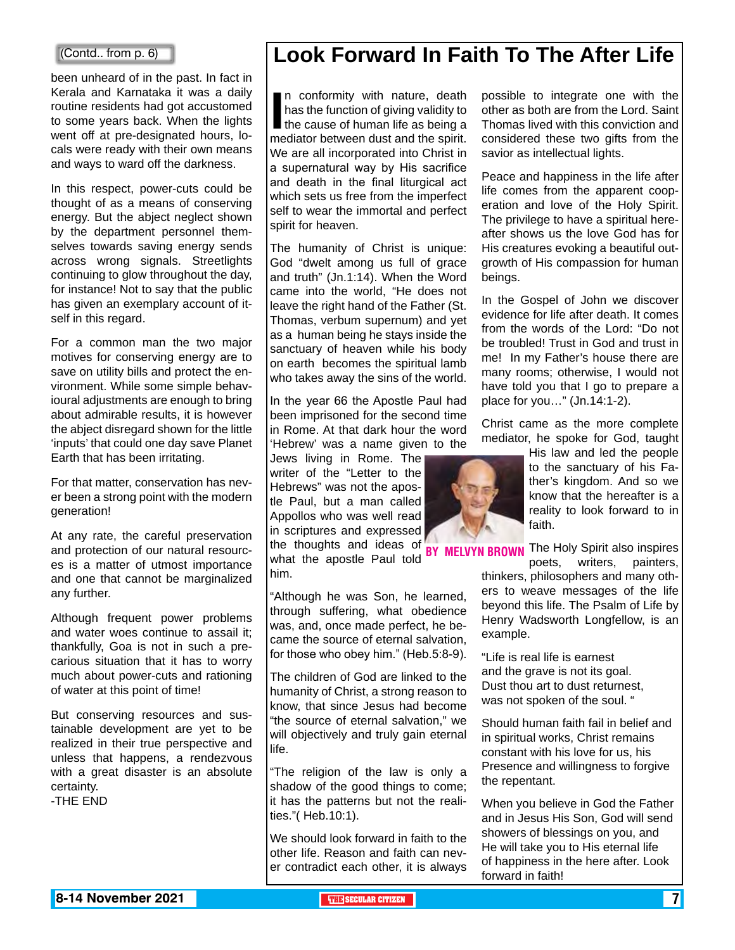#### (Contd.. from p. 6)

been unheard of in the past. In fact in Kerala and Karnataka it was a daily routine residents had got accustomed to some years back. When the lights went off at pre-designated hours, locals were ready with their own means and ways to ward off the darkness.

In this respect, power-cuts could be thought of as a means of conserving energy. But the abject neglect shown by the department personnel themselves towards saving energy sends across wrong signals. Streetlights continuing to glow throughout the day, for instance! Not to say that the public has given an exemplary account of itself in this regard.

For a common man the two major motives for conserving energy are to save on utility bills and protect the environment. While some simple behavioural adjustments are enough to bring about admirable results, it is however the abject disregard shown for the little 'inputs' that could one day save Planet Earth that has been irritating.

For that matter, conservation has never been a strong point with the modern generation!

At any rate, the careful preservation and protection of our natural resources is a matter of utmost importance and one that cannot be marginalized any further.

Although frequent power problems and water woes continue to assail it; thankfully, Goa is not in such a precarious situation that it has to worry much about power-cuts and rationing of water at this point of time!

But conserving resources and sustainable development are yet to be realized in their true perspective and unless that happens, a rendezvous with a great disaster is an absolute certainty.

-THE END

# **Look Forward In Faith To The After Life**

In conformity with nature, death<br>has the function of giving validity to<br>the cause of human life as being a<br>mediator between dust and the spirit. n conformity with nature, death has the function of giving validity to  $\blacksquare$  the cause of human life as being a We are all incorporated into Christ in a supernatural way by His sacrifice and death in the final liturgical act which sets us free from the imperfect self to wear the immortal and perfect spirit for heaven.

The humanity of Christ is unique: God "dwelt among us full of grace and truth" (Jn.1:14). When the Word came into the world, "He does not leave the right hand of the Father (St. Thomas, verbum supernum) and yet as a human being he stays inside the sanctuary of heaven while his body on earth becomes the spiritual lamb who takes away the sins of the world.

In the year 66 the Apostle Paul had been imprisoned for the second time in Rome. At that dark hour the word 'Hebrew' was a name given to the

Jews living in Rome. The writer of the "Letter to the Hebrews" was not the apostle Paul, but a man called Appollos who was well read in scriptures and expressed

the thoughts and ideas of BY MELVYN BR<br>what the speatle Baul told BY MELVYN BR what the apostle Paul told him.

"Although he was Son, he learned, through suffering, what obedience was, and, once made perfect, he became the source of eternal salvation, for those who obey him." (Heb.5:8-9).

The children of God are linked to the humanity of Christ, a strong reason to know, that since Jesus had become "the source of eternal salvation," we will objectively and truly gain eternal life.

"The religion of the law is only a shadow of the good things to come; it has the patterns but not the realities."( Heb.10:1).

We should look forward in faith to the other life. Reason and faith can never contradict each other, it is always possible to integrate one with the other as both are from the Lord. Saint Thomas lived with this conviction and considered these two gifts from the savior as intellectual lights.

Peace and happiness in the life after life comes from the apparent cooperation and love of the Holy Spirit. The privilege to have a spiritual hereafter shows us the love God has for His creatures evoking a beautiful outgrowth of His compassion for human beings.

In the Gospel of John we discover evidence for life after death. It comes from the words of the Lord: "Do not be troubled! Trust in God and trust in me! In my Father's house there are many rooms; otherwise, I would not have told you that I go to prepare a place for you…" (Jn.14:1-2).

Christ came as the more complete mediator, he spoke for God, taught



His law and led the people to the sanctuary of his Father's kingdom. And so we know that the hereafter is a reality to look forward to in faith.

The Holy Spirit also inspires poets, writers, painters,

thinkers, philosophers and many others to weave messages of the life beyond this life. The Psalm of Life by Henry Wadsworth Longfellow, is an example.

"Life is real life is earnest and the grave is not its goal. Dust thou art to dust returnest, was not spoken of the soul. "

Should human faith fail in belief and in spiritual works, Christ remains constant with his love for us, his Presence and willingness to forgive the repentant.

When you believe in God the Father and in Jesus His Son, God will send showers of blessings on you, and He will take you to His eternal life of happiness in the here after. Look forward in faith!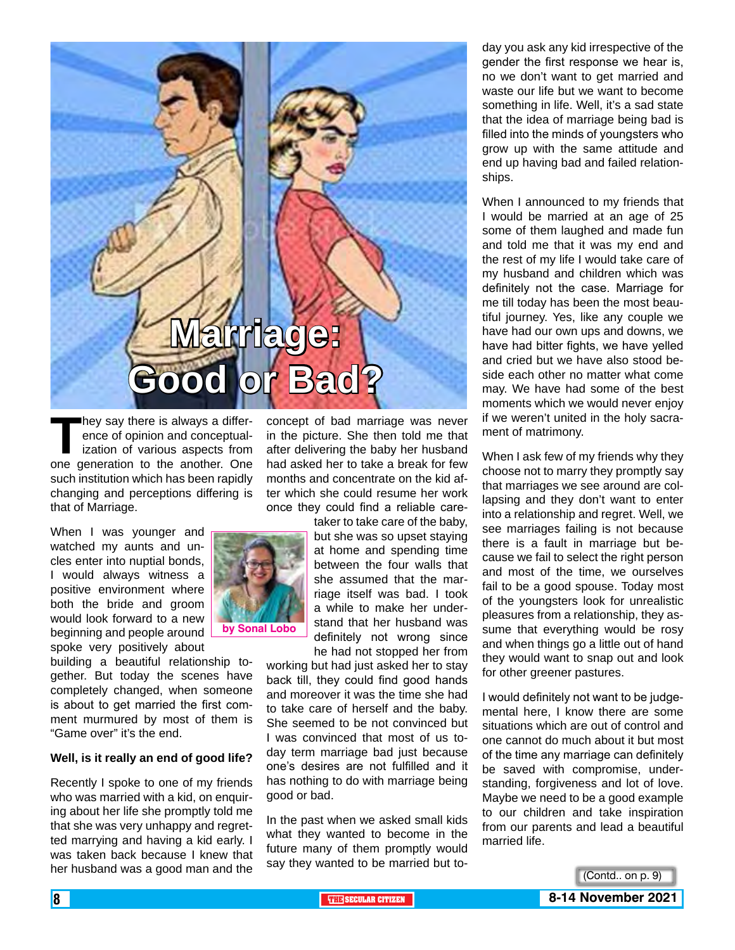

**They say there is always a difference of opinion and conceptualization of various aspects from<br>one deneration to the another. One** ence of opinion and conceptualization of various aspects from one generation to the another. One such institution which has been rapidly changing and perceptions differing is that of Marriage.

When I was younger and watched my aunts and uncles enter into nuptial bonds, I would always witness a positive environment where both the bride and groom would look forward to a new beginning and people around spoke very positively about

building a beautiful relationship together. But today the scenes have completely changed, when someone is about to get married the first comment murmured by most of them is "Game over" it's the end.

#### **Well, is it really an end of good life?**

Recently I spoke to one of my friends who was married with a kid, on enquiring about her life she promptly told me that she was very unhappy and regretted marrying and having a kid early. I was taken back because I knew that her husband was a good man and the

concept of bad marriage was never in the picture. She then told me that after delivering the baby her husband had asked her to take a break for few months and concentrate on the kid after which she could resume her work once they could find a reliable care-

> taker to take care of the baby, but she was so upset staying at home and spending time between the four walls that she assumed that the marriage itself was bad. I took a while to make her understand that her husband was definitely not wrong since he had not stopped her from

working but had just asked her to stay back till, they could find good hands and moreover it was the time she had to take care of herself and the baby. She seemed to be not convinced but I was convinced that most of us today term marriage bad just because one's desires are not fulfilled and it has nothing to do with marriage being good or bad.

In the past when we asked small kids what they wanted to become in the future many of them promptly would say they wanted to be married but to-

day you ask any kid irrespective of the gender the first response we hear is, no we don't want to get married and waste our life but we want to become something in life. Well, it's a sad state that the idea of marriage being bad is filled into the minds of youngsters who grow up with the same attitude and end up having bad and failed relationships.

When I announced to my friends that I would be married at an age of 25 some of them laughed and made fun and told me that it was my end and the rest of my life I would take care of my husband and children which was definitely not the case. Marriage for me till today has been the most beautiful journey. Yes, like any couple we have had our own ups and downs, we have had bitter fights, we have yelled and cried but we have also stood beside each other no matter what come may. We have had some of the best moments which we would never enjoy if we weren't united in the holy sacrament of matrimony.

When I ask few of my friends why they choose not to marry they promptly say that marriages we see around are collapsing and they don't want to enter into a relationship and regret. Well, we see marriages failing is not because there is a fault in marriage but because we fail to select the right person and most of the time, we ourselves fail to be a good spouse. Today most of the youngsters look for unrealistic pleasures from a relationship, they assume that everything would be rosy and when things go a little out of hand they would want to snap out and look for other greener pastures.

I would definitely not want to be judgemental here, I know there are some situations which are out of control and one cannot do much about it but most of the time any marriage can definitely be saved with compromise, understanding, forgiveness and lot of love. Maybe we need to be a good example to our children and take inspiration from our parents and lead a beautiful married life.



**by Sonal Lobo**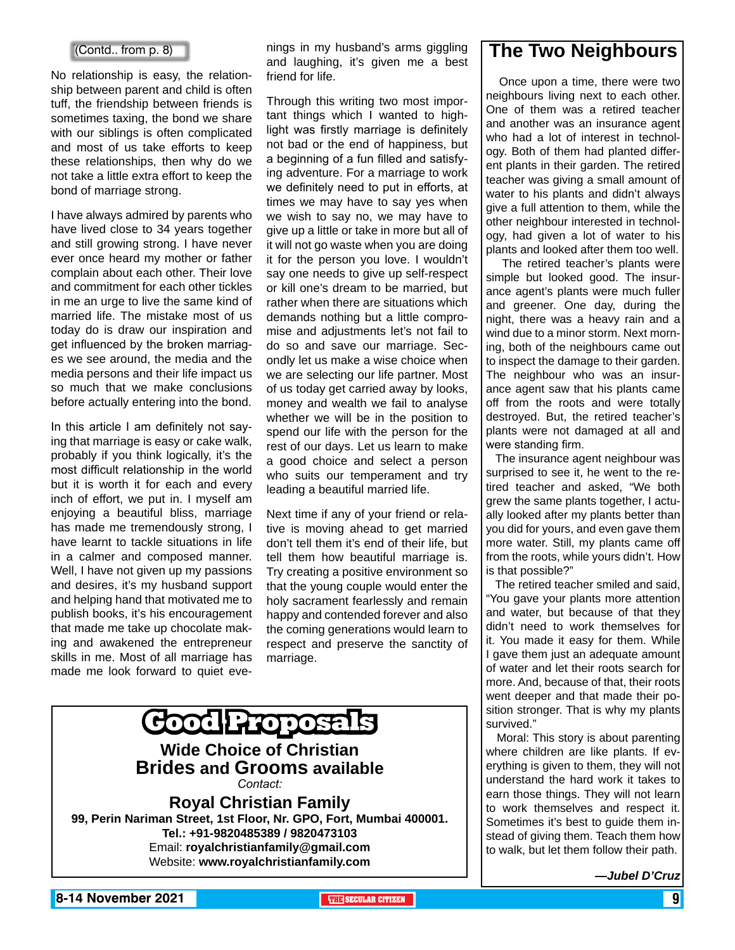#### (Contd.. from p. 8)

No relationship is easy, the relationship between parent and child is often tuff, the friendship between friends is sometimes taxing, the bond we share with our siblings is often complicated and most of us take efforts to keep these relationships, then why do we not take a little extra effort to keep the bond of marriage strong.

I have always admired by parents who have lived close to 34 years together and still growing strong. I have never ever once heard my mother or father complain about each other. Their love and commitment for each other tickles in me an urge to live the same kind of married life. The mistake most of us today do is draw our inspiration and get influenced by the broken marriages we see around, the media and the media persons and their life impact us so much that we make conclusions before actually entering into the bond.

In this article I am definitely not saying that marriage is easy or cake walk, probably if you think logically, it's the most difficult relationship in the world but it is worth it for each and every inch of effort, we put in. I myself am enjoying a beautiful bliss, marriage has made me tremendously strong, I have learnt to tackle situations in life in a calmer and composed manner. Well, I have not given up my passions and desires, it's my husband support and helping hand that motivated me to publish books, it's his encouragement that made me take up chocolate making and awakened the entrepreneur skills in me. Most of all marriage has made me look forward to quiet eve-

nings in my husband's arms giggling and laughing, it's given me a best friend for life.

Through this writing two most important things which I wanted to highlight was firstly marriage is definitely not bad or the end of happiness, but a beginning of a fun filled and satisfying adventure. For a marriage to work we definitely need to put in efforts, at times we may have to say yes when we wish to say no, we may have to give up a little or take in more but all of it will not go waste when you are doing it for the person you love. I wouldn't say one needs to give up self-respect or kill one's dream to be married, but rather when there are situations which demands nothing but a little compromise and adjustments let's not fail to do so and save our marriage. Secondly let us make a wise choice when we are selecting our life partner. Most of us today get carried away by looks, money and wealth we fail to analyse whether we will be in the position to spend our life with the person for the rest of our days. Let us learn to make a good choice and select a person who suits our temperament and try leading a beautiful married life.

Next time if any of your friend or relative is moving ahead to get married don't tell them it's end of their life, but tell them how beautiful marriage is. Try creating a positive environment so that the young couple would enter the holy sacrament fearlessly and remain happy and contended forever and also the coming generations would learn to respect and preserve the sanctity of marriage.



**Tel.: +91-9820485389 / 9820473103** Email: **royalchristianfamily@gmail.com** Website: **www.royalchristianfamily.com**

### **The Two Neighbours**

 Once upon a time, there were two neighbours living next to each other. One of them was a retired teacher and another was an insurance agent who had a lot of interest in technology. Both of them had planted different plants in their garden. The retired teacher was giving a small amount of water to his plants and didn't always give a full attention to them, while the other neighbour interested in technology, had given a lot of water to his plants and looked after them too well.

 The retired teacher's plants were simple but looked good. The insurance agent's plants were much fuller and greener. One day, during the night, there was a heavy rain and a wind due to a minor storm. Next morning, both of the neighbours came out to inspect the damage to their garden. The neighbour who was an insurance agent saw that his plants came off from the roots and were totally destroyed. But, the retired teacher's plants were not damaged at all and were standing firm.

 The insurance agent neighbour was surprised to see it, he went to the retired teacher and asked, "We both grew the same plants together, I actually looked after my plants better than you did for yours, and even gave them more water. Still, my plants came off from the roots, while yours didn't. How is that possible?"

 The retired teacher smiled and said, "You gave your plants more attention and water, but because of that they didn't need to work themselves for it. You made it easy for them. While I gave them just an adequate amount of water and let their roots search for more. And, because of that, their roots went deeper and that made their position stronger. That is why my plants survived."

 Moral: This story is about parenting where children are like plants. If everything is given to them, they will not understand the hard work it takes to earn those things. They will not learn to work themselves and respect it. Sometimes it's best to guide them instead of giving them. Teach them how to walk, but let them follow their path.

*—Jubel D'Cruz*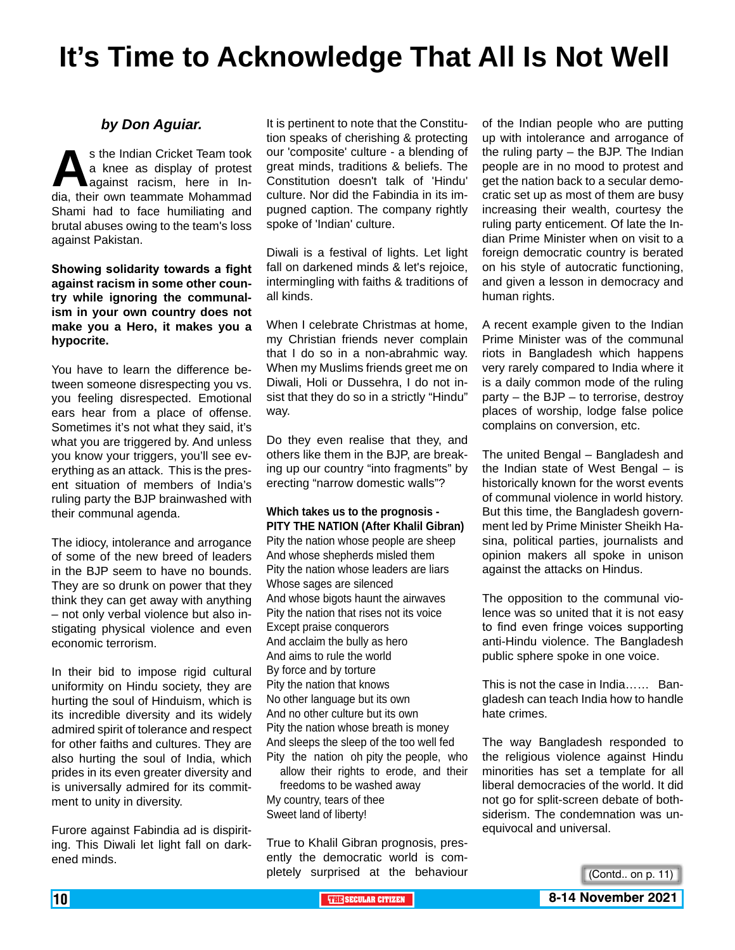# **It's Time to Acknowledge That All Is Not Well**

#### *by Don Aguiar.*

s the Indian Cricket Team took<br>
a knee as display of protest<br>
dia, their own teammate Mohammad a knee as display of protest against racism, here in In-Shami had to face humiliating and brutal abuses owing to the team's loss against Pakistan.

**Showing solidarity towards a fight against racism in some other country while ignoring the communalism in your own country does not make you a Hero, it makes you a hypocrite.**

You have to learn the difference between someone disrespecting you vs. you feeling disrespected. Emotional ears hear from a place of offense. Sometimes it's not what they said, it's what you are triggered by. And unless you know your triggers, you'll see everything as an attack. This is the present situation of members of India's ruling party the BJP brainwashed with their communal agenda.

The idiocy, intolerance and arrogance of some of the new breed of leaders in the BJP seem to have no bounds. They are so drunk on power that they think they can get away with anything – not only verbal violence but also instigating physical violence and even economic terrorism.

In their bid to impose rigid cultural uniformity on Hindu society, they are hurting the soul of Hinduism, which is its incredible diversity and its widely admired spirit of tolerance and respect for other faiths and cultures. They are also hurting the soul of India, which prides in its even greater diversity and is universally admired for its commitment to unity in diversity.

Furore against Fabindia ad is dispiriting. This Diwali let light fall on darkened minds.

It is pertinent to note that the Constitution speaks of cherishing & protecting our 'composite' culture - a blending of great minds, traditions & beliefs. The Constitution doesn't talk of 'Hindu' culture. Nor did the Fabindia in its impugned caption. The company rightly spoke of 'Indian' culture.

Diwali is a festival of lights. Let light fall on darkened minds & let's rejoice, intermingling with faiths & traditions of all kinds.

When I celebrate Christmas at home, my Christian friends never complain that I do so in a non-abrahmic way. When my Muslims friends greet me on Diwali, Holi or Dussehra, I do not insist that they do so in a strictly "Hindu" way.

Do they even realise that they, and others like them in the BJP, are breaking up our country "into fragments" by erecting "narrow domestic walls"?

#### **Which takes us to the prognosis - PITY THE NATION (After Khalil Gibran)**

Pity the nation whose people are sheep And whose shepherds misled them Pity the nation whose leaders are liars Whose sages are silenced And whose bigots haunt the airwaves Pity the nation that rises not its voice Except praise conquerors And acclaim the bully as hero And aims to rule the world By force and by torture Pity the nation that knows No other language but its own And no other culture but its own Pity the nation whose breath is money And sleeps the sleep of the too well fed Pity the nation oh pity the people, who allow their rights to erode, and their

freedoms to be washed away My country, tears of thee Sweet land of liberty!

True to Khalil Gibran prognosis, presently the democratic world is completely surprised at the behaviour

of the Indian people who are putting up with intolerance and arrogance of the ruling party – the BJP. The Indian people are in no mood to protest and get the nation back to a secular democratic set up as most of them are busy increasing their wealth, courtesy the ruling party enticement. Of late the Indian Prime Minister when on visit to a foreign democratic country is berated on his style of autocratic functioning, and given a lesson in democracy and human rights.

A recent example given to the Indian Prime Minister was of the communal riots in Bangladesh which happens very rarely compared to India where it is a daily common mode of the ruling party – the BJP – to terrorise, destroy places of worship, lodge false police complains on conversion, etc.

The united Bengal – Bangladesh and the Indian state of West Bengal – is historically known for the worst events of communal violence in world history. But this time, the Bangladesh government led by Prime Minister Sheikh Hasina, political parties, journalists and opinion makers all spoke in unison against the attacks on Hindus.

The opposition to the communal violence was so united that it is not easy to find even fringe voices supporting anti-Hindu violence. The Bangladesh public sphere spoke in one voice.

This is not the case in India…… Bangladesh can teach India how to handle hate crimes.

The way Bangladesh responded to the religious violence against Hindu minorities has set a template for all liberal democracies of the world. It did not go for split-screen debate of bothsiderism. The condemnation was unequivocal and universal.

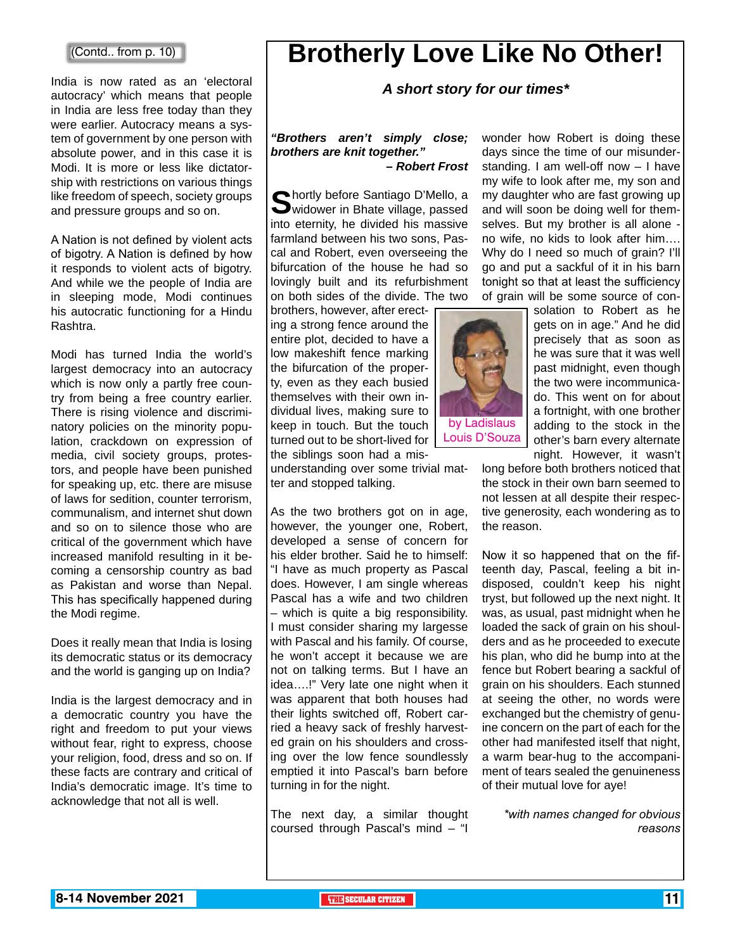#### (Contd.. from p. 10)

India is now rated as an 'electoral **A short story for our times**\* autocracy' which means that people in India are less free today than they were earlier. Autocracy means a system of government by one person with absolute power, and in this case it is Modi. It is more or less like dictatorship with restrictions on various things like freedom of speech, society groups and pressure groups and so on.

A Nation is not defined by violent acts of bigotry. A Nation is defined by how it responds to violent acts of bigotry. And while we the people of India are in sleeping mode, Modi continues his autocratic functioning for a Hindu Rashtra.

Modi has turned India the world's largest democracy into an autocracy which is now only a partly free country from being a free country earlier. There is rising violence and discriminatory policies on the minority population, crackdown on expression of media, civil society groups, protestors, and people have been punished for speaking up, etc. there are misuse of laws for sedition, counter terrorism, communalism, and internet shut down and so on to silence those who are critical of the government which have increased manifold resulting in it becoming a censorship country as bad as Pakistan and worse than Nepal. This has specifically happened during the Modi regime.

Does it really mean that India is losing its democratic status or its democracy and the world is ganging up on India?

India is the largest democracy and in a democratic country you have the right and freedom to put your views without fear, right to express, choose your religion, food, dress and so on. If these facts are contrary and critical of India's democratic image. It's time to acknowledge that not all is well.

# **Brotherly Love Like No Other!**

#### *"Brothers aren't simply close; brothers are knit together." – Robert Frost*

**S**hortly before Santiago D'Mello, a<br>widower in Bhate village, passed into eternity, he divided his massive farmland between his two sons, Pascal and Robert, even overseeing the bifurcation of the house he had so lovingly built and its refurbishment on both sides of the divide. The two

brothers, however, after erecting a strong fence around the entire plot, decided to have a low makeshift fence marking the bifurcation of the property, even as they each busied themselves with their own individual lives, making sure to keep in touch. But the touch turned out to be short-lived for the siblings soon had a mis-

understanding over some trivial matter and stopped talking.

As the two brothers got on in age, however, the younger one, Robert, developed a sense of concern for his elder brother. Said he to himself: "I have as much property as Pascal does. However, I am single whereas Pascal has a wife and two children – which is quite a big responsibility. I must consider sharing my largesse with Pascal and his family. Of course, he won't accept it because we are not on talking terms. But I have an idea….!" Very late one night when it was apparent that both houses had their lights switched off, Robert carried a heavy sack of freshly harvested grain on his shoulders and crossing over the low fence soundlessly emptied it into Pascal's barn before turning in for the night.

The next day, a similar thought coursed through Pascal's mind – "I

wonder how Robert is doing these days since the time of our misunderstanding. I am well-off now – I have my wife to look after me, my son and my daughter who are fast growing up and will soon be doing well for themselves. But my brother is all alone no wife, no kids to look after him…. Why do I need so much of grain? I'll go and put a sackful of it in his barn tonight so that at least the sufficiency of grain will be some source of con-



solation to Robert as he gets on in age." And he did precisely that as soon as he was sure that it was well past midnight, even though the two were incommunicado. This went on for about a fortnight, with one brother adding to the stock in the other's barn every alternate night. However, it wasn't

long before both brothers noticed that the stock in their own barn seemed to not lessen at all despite their respective generosity, each wondering as to the reason.

Now it so happened that on the fifteenth day, Pascal, feeling a bit indisposed, couldn't keep his night tryst, but followed up the next night. It was, as usual, past midnight when he loaded the sack of grain on his shoulders and as he proceeded to execute his plan, who did he bump into at the fence but Robert bearing a sackful of grain on his shoulders. Each stunned at seeing the other, no words were exchanged but the chemistry of genuine concern on the part of each for the other had manifested itself that night, a warm bear-hug to the accompaniment of tears sealed the genuineness of their mutual love for aye!

> *\*with names changed for obvious reasons*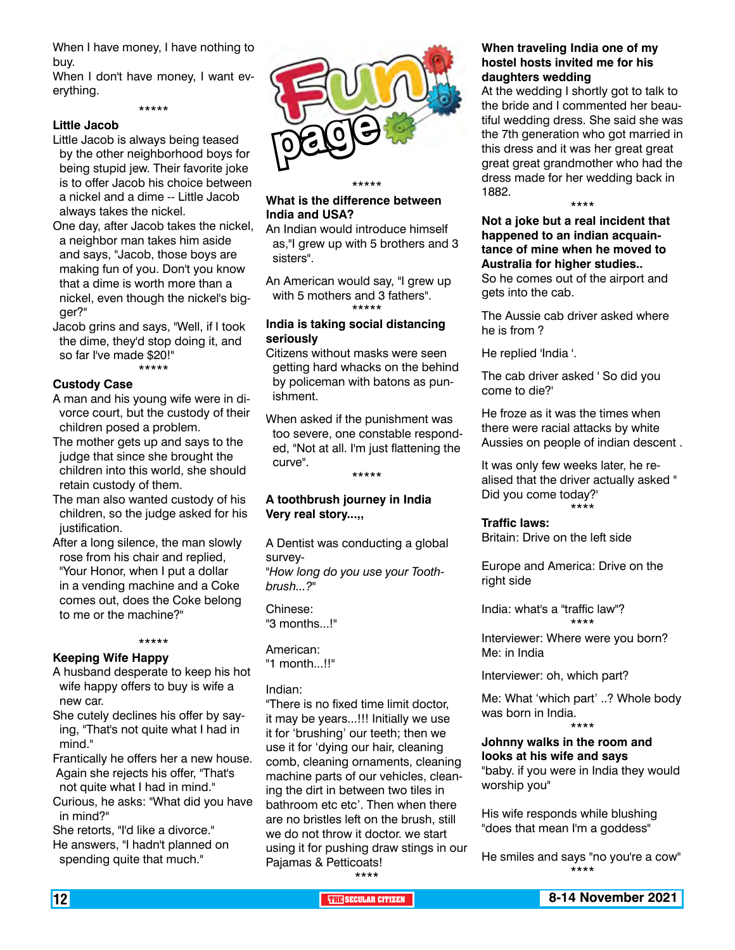When I have money, I have nothing to buy.

When I don't have money, I want everything.

\*\*\*\*\*

#### **Little Jacob**

- Little Jacob is always being teased by the other neighborhood boys for being stupid jew. Their favorite joke is to offer Jacob his choice between a nickel and a dime -- Little Jacob always takes the nickel.
- One day, after Jacob takes the nickel, a neighbor man takes him aside and says, "Jacob, those boys are making fun of you. Don't you know that a dime is worth more than a nickel, even though the nickel's bigger?"
- Jacob grins and says, "Well, if I took the dime, they'd stop doing it, and so far I've made \$20!" \*\*\*\*\*

#### **Custody Case**

- A man and his young wife were in divorce court, but the custody of their children posed a problem.
- The mother gets up and says to the judge that since she brought the children into this world, she should retain custody of them.
- The man also wanted custody of his children, so the judge asked for his justification.
- After a long silence, the man slowly rose from his chair and replied, "Your Honor, when I put a dollar in a vending machine and a Coke comes out, does the Coke belong to me or the machine?"

#### \*\*\*\*\*

#### **Keeping Wife Happy**

- A husband desperate to keep his hot wife happy offers to buy is wife a new car.
- She cutely declines his offer by saying, "That's not quite what I had in mind."
- Frantically he offers her a new house. Again she rejects his offer, "That's
- not quite what I had in mind." Curious, he asks: "What did you have in mind?"
- She retorts, "I'd like a divorce." He answers, "I hadn't planned on spending quite that much."



#### **What is the difference between India and USA?**

An Indian would introduce himself as,"I grew up with 5 brothers and 3 sisters".

An American would say, "I grew up with 5 mothers and 3 fathers". \*\*\*\*\*

#### **India is taking social distancing seriously**

- Citizens without masks were seen getting hard whacks on the behind by policeman with batons as punishment.
- When asked if the punishment was too severe, one constable responded, "Not at all. I'm just flattening the curve". \*\*\*\*\*

**A toothbrush journey in India**

**Very real story...,,**

A Dentist was conducting a global survey- *"How long do you use your Toothbrush...?"*

Chinese: "3 months...!"

American: "1 month...!!"

#### Indian:

"There is no fixed time limit doctor, it may be years...!!! Initially we use it for 'brushing' our teeth; then we use it for 'dying our hair, cleaning comb, cleaning ornaments, cleaning machine parts of our vehicles, cleaning the dirt in between two tiles in bathroom etc etc'. Then when there are no bristles left on the brush, still we do not throw it doctor. we start using it for pushing draw stings in our Pajamas & Petticoats!

#### **When traveling India one of my hostel hosts invited me for his daughters wedding**

At the wedding I shortly got to talk to the bride and I commented her beautiful wedding dress. She said she was the 7th generation who got married in this dress and it was her great great great great grandmother who had the dress made for her wedding back in 1882. \*\*\*\*

**Not a joke but a real incident that happened to an indian acquaintance of mine when he moved to Australia for higher studies..**

So he comes out of the airport and gets into the cab.

The Aussie cab driver asked where he is from ?

He replied 'India '.

The cab driver asked ' So did you come to die?'

He froze as it was the times when there were racial attacks by white Aussies on people of indian descent .

It was only few weeks later, he realised that the driver actually asked " Did you come today?' \*\*\*\*

**Traffic laws:** Britain: Drive on the left side

Europe and America: Drive on the right side

India: what's a "traffic law"? \*\*\*\*

Interviewer: Where were you born? Me: in India

Interviewer: oh, which part?

Me: What 'which part' ..? Whole body was born in India. \*\*\*\*

#### **Johnny walks in the room and looks at his wife and says**

"baby. if you were in India they would worship you"

His wife responds while blushing "does that mean I'm a goddess"

He smiles and says "no you're a cow" \*\*\*\*

\*\*\*\*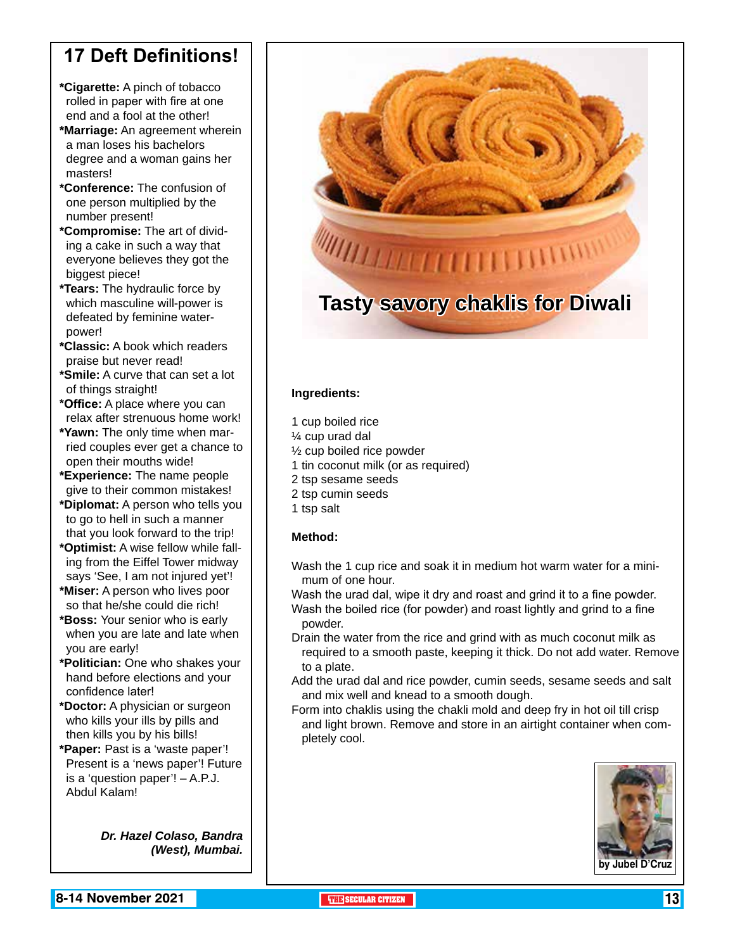## **17 Deft Definitions!**

- **\*Cigarette:** A pinch of tobacco rolled in paper with fire at one end and a fool at the other!
- **\*Marriage:** An agreement wherein a man loses his bachelors degree and a woman gains her masters!
- **\*Conference:** The confusion of one person multiplied by the number present!
- **\*Compromise:** The art of dividing a cake in such a way that everyone believes they got the biggest piece!
- **\*Tears:** The hydraulic force by which masculine will-power is defeated by feminine waterpower!
- **\*Classic:** A book which readers praise but never read!
- **\*Smile:** A curve that can set a lot of things straight!
- **\*Office:** A place where you can relax after strenuous home work!
- **\*Yawn:** The only time when married couples ever get a chance to open their mouths wide!
- **\*Experience:** The name people give to their common mistakes!
- **\*Diplomat:** A person who tells you to go to hell in such a manner that you look forward to the trip!
- **\*Optimist:** A wise fellow while falling from the Eiffel Tower midway says 'See, I am not injured yet'!
- **\*Miser:** A person who lives poor so that he/she could die rich!
- **\*Boss:** Your senior who is early when you are late and late when you are early!
- **\*Politician:** One who shakes your hand before elections and your confidence later!
- **\*Doctor:** A physician or surgeon who kills your ills by pills and then kills you by his bills!
- **\*Paper:** Past is a 'waste paper'! Present is a 'news paper'! Future is a 'question paper'! – A.P.J. Abdul Kalam!

*Dr. Hazel Colaso, Bandra (West), Mumbai.*



#### **Ingredients:**

- 1 cup boiled rice
- ¼ cup urad dal
- ½ cup boiled rice powder
- 1 tin coconut milk (or as required)
- 2 tsp sesame seeds
- 2 tsp cumin seeds
- 1 tsp salt

#### **Method:**

- Wash the 1 cup rice and soak it in medium hot warm water for a minimum of one hour.
- Wash the urad dal, wipe it dry and roast and grind it to a fine powder. Wash the boiled rice (for powder) and roast lightly and grind to a fine powder.
- Drain the water from the rice and grind with as much coconut milk as required to a smooth paste, keeping it thick. Do not add water. Remove to a plate.
- Add the urad dal and rice powder, cumin seeds, sesame seeds and salt and mix well and knead to a smooth dough.
- Form into chaklis using the chakli mold and deep fry in hot oil till crisp and light brown. Remove and store in an airtight container when completely cool.

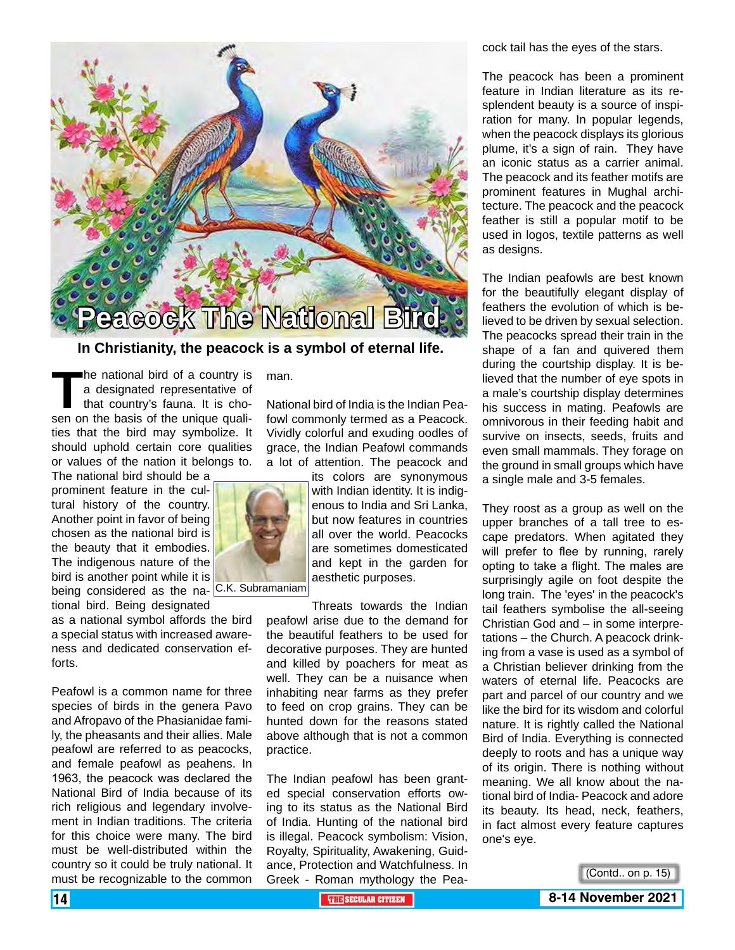

**In Christianity, the peacock is a symbol of eternal life.**

The national bird of a country is<br>a designated representative of<br>that country's fauna. It is cho-<br>sen on the basis of the unique qualia designated representative of that country's fauna. It is chosen on the basis of the unique qualities that the bird may symbolize. It should uphold certain core qualities or values of the nation it belongs to.

The national bird should be a prominent feature in the cultural history of the country. Another point in favor of being chosen as the national bird is the beauty that it embodies. The indigenous nature of the bird is another point while it is being considered as the na- C.K. Subramaniam tional bird. Being designated

as a national symbol affords the bird a special status with increased awareness and dedicated conservation efforts.

Peafowl is a common name for three species of birds in the genera Pavo and Afropavo of the Phasianidae family, the pheasants and their allies. Male peafowl are referred to as peacocks, and female peafowl as peahens. In 1963, the peacock was declared the National Bird of India because of its rich religious and legendary involvement in Indian traditions. The criteria for this choice were many. The bird must be well-distributed within the country so it could be truly national. It must be recognizable to the common

man.

National bird of India is the Indian Peafowl commonly termed as a Peacock. Vividly colorful and exuding oodles of grace, the Indian Peafowl commands a lot of attention. The peacock and

its colors are synonymous with Indian identity. It is indigenous to India and Sri Lanka, but now features in countries all over the world. Peacocks are sometimes domesticated and kept in the garden for aesthetic purposes.

Threats towards the Indian peafowl arise due to the demand for the beautiful feathers to be used for decorative purposes. They are hunted and killed by poachers for meat as well. They can be a nuisance when inhabiting near farms as they prefer to feed on crop grains. They can be hunted down for the reasons stated above although that is not a common practice.

The Indian peafowl has been granted special conservation efforts owing to its status as the National Bird of India. Hunting of the national bird is illegal. Peacock symbolism: Vision, Royalty, Spirituality, Awakening, Guidance, Protection and Watchfulness. In Greek - Roman mythology the Peacock tail has the eyes of the stars.

The peacock has been a prominent feature in Indian literature as its resplendent beauty is a source of inspiration for many. In popular legends, when the peacock displays its glorious plume, it's a sign of rain. They have an iconic status as a carrier animal. The peacock and its feather motifs are prominent features in Mughal architecture. The peacock and the peacock feather is still a popular motif to be used in logos, textile patterns as well as designs.

The Indian peafowls are best known for the beautifully elegant display of feathers the evolution of which is believed to be driven by sexual selection. The peacocks spread their train in the shape of a fan and quivered them during the courtship display. It is believed that the number of eye spots in a male's courtship display determines his success in mating. Peafowls are omnivorous in their feeding habit and survive on insects, seeds, fruits and even small mammals. They forage on the ground in small groups which have a single male and 3-5 females.

They roost as a group as well on the upper branches of a tall tree to escape predators. When agitated they will prefer to flee by running, rarely opting to take a flight. The males are surprisingly agile on foot despite the long train. The 'eyes' in the peacock's tail feathers symbolise the all-seeing Christian God and – in some interpretations – the Church. A peacock drinking from a vase is used as a symbol of a Christian believer drinking from the waters of eternal life. Peacocks are part and parcel of our country and we like the bird for its wisdom and colorful nature. It is rightly called the National Bird of India. Everything is connected deeply to roots and has a unique way of its origin. There is nothing without meaning. We all know about the national bird of India- Peacock and adore its beauty. Its head, neck, feathers, in fact almost every feature captures one's eye.



14 **THE SECULAR CITIZEN 8-14 November 2021**

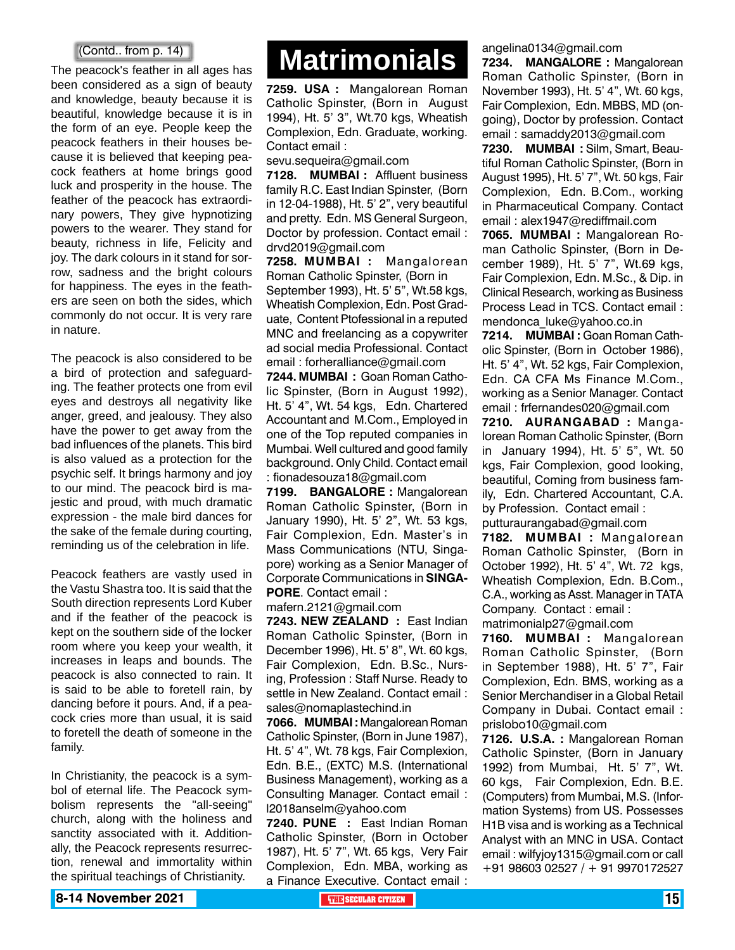The peacock's feather in all ages has been considered as a sign of beauty and knowledge, beauty because it is beautiful, knowledge because it is in the form of an eye. People keep the peacock feathers in their houses because it is believed that keeping peacock feathers at home brings good luck and prosperity in the house. The feather of the peacock has extraordinary powers, They give hypnotizing powers to the wearer. They stand for beauty, richness in life, Felicity and joy. The dark colours in it stand for sorrow, sadness and the bright colours for happiness. The eyes in the feathers are seen on both the sides, which commonly do not occur. It is very rare in nature.

The peacock is also considered to be a bird of protection and safeguarding. The feather protects one from evil eyes and destroys all negativity like anger, greed, and jealousy. They also have the power to get away from the bad influences of the planets. This bird is also valued as a protection for the psychic self. It brings harmony and joy to our mind. The peacock bird is majestic and proud, with much dramatic expression - the male bird dances for the sake of the female during courting, reminding us of the celebration in life.

Peacock feathers are vastly used in the Vastu Shastra too. It is said that the South direction represents Lord Kuber and if the feather of the peacock is kept on the southern side of the locker room where you keep your wealth, it increases in leaps and bounds. The peacock is also connected to rain. It is said to be able to foretell rain, by dancing before it pours. And, if a peacock cries more than usual, it is said to foretell the death of someone in the family.

In Christianity, the peacock is a symbol of eternal life. The Peacock symbolism represents the "all-seeing" church, along with the holiness and sanctity associated with it. Additionally, the Peacock represents resurrection, renewal and immortality within the spiritual teachings of Christianity.

# (Contd.. from p. 14) **Matrimonials Matrimonials**

**7259. USA :** Mangalorean Roman Catholic Spinster, (Born in August 1994), Ht. 5' 3", Wt.70 kgs, Wheatish Complexion, Edn. Graduate, working. Contact email :

sevu.sequeira@gmail.com

**7128. MUMBAI :** Affluent business family R.C. East Indian Spinster, (Born in 12-04-1988), Ht. 5' 2", very beautiful and pretty. Edn. MS General Surgeon, Doctor by profession. Contact email : drvd2019@gmail.com

**7258. MUMBAI :** Mangalorean Roman Catholic Spinster, (Born in September 1993), Ht. 5' 5", Wt.58 kgs, Wheatish Complexion, Edn. Post Graduate, Content Ptofessional in a reputed MNC and freelancing as a copywriter ad social media Professional. Contact email : forheralliance@gmail.com

**7244. MUMBAI :** Goan Roman Catholic Spinster, (Born in August 1992), Ht. 5' 4", Wt. 54 kgs, Edn. Chartered Accountant and M.Com., Employed in one of the Top reputed companies in Mumbai. Well cultured and good family background. Only Child. Contact email : fionadesouza18@gmail.com

**7199. BANGALORE :** Mangalorean Roman Catholic Spinster, (Born in January 1990), Ht. 5' 2", Wt. 53 kgs, Fair Complexion, Edn. Master's in Mass Communications (NTU, Singapore) working as a Senior Manager of Corporate Communications in **SINGA-PORE**. Contact email :

mafern.2121@gmail.com

**7243. NEW ZEALAND :** East Indian Roman Catholic Spinster, (Born in December 1996), Ht. 5' 8", Wt. 60 kgs, Fair Complexion, Edn. B.Sc., Nursing, Profession : Staff Nurse. Ready to settle in New Zealand. Contact email : sales@nomaplastechind.in

**7066. MUMBAI :** Mangalorean Roman Catholic Spinster, (Born in June 1987), Ht. 5' 4", Wt. 78 kgs, Fair Complexion, Edn. B.E., (EXTC) M.S. (International Business Management), working as a Consulting Manager. Contact email : l2018anselm@yahoo.com

**7240. PUNE :** East Indian Roman Catholic Spinster, (Born in October 1987), Ht. 5' 7", Wt. 65 kgs, Very Fair Complexion, Edn. MBA, working as a Finance Executive. Contact email :

angelina0134@gmail.com

**7234. MANGALORE :** Mangalorean Roman Catholic Spinster, (Born in November 1993), Ht. 5' 4", Wt. 60 kgs, Fair Complexion, Edn. MBBS, MD (ongoing), Doctor by profession. Contact email : samaddy2013@gmail.com

**7230. MUMBAI :** Silm, Smart, Beautiful Roman Catholic Spinster, (Born in August 1995), Ht. 5' 7", Wt. 50 kgs, Fair Complexion, Edn. B.Com., working in Pharmaceutical Company. Contact email : alex1947@rediffmail.com

**7065. MUMBAI :** Mangalorean Roman Catholic Spinster, (Born in December 1989), Ht. 5' 7", Wt.69 kgs, Fair Complexion, Edn. M.Sc., & Dip. in Clinical Research, working as Business Process Lead in TCS. Contact email : mendonca\_luke@yahoo.co.in

**7214. MUMBAI :** Goan Roman Catholic Spinster, (Born in October 1986), Ht. 5' 4", Wt. 52 kgs, Fair Complexion, Edn. CA CFA Ms Finance M.Com., working as a Senior Manager. Contact email : frfernandes020@gmail.com

**7210. AURANGABAD :** Mangalorean Roman Catholic Spinster, (Born in January 1994), Ht. 5' 5", Wt. 50 kgs, Fair Complexion, good looking, beautiful, Coming from business family, Edn. Chartered Accountant, C.A. by Profession. Contact email : putturaurangabad@gmail.com

**7182. MUMBAI :** Mangalorean Roman Catholic Spinster, (Born in October 1992), Ht. 5' 4", Wt. 72 kgs, Wheatish Complexion, Edn. B.Com., C.A., working as Asst. Manager in TATA Company. Contact : email : matrimonialp27@gmail.com

**7160. MUMBAI :** Mangalorean Roman Catholic Spinster, (Born in September 1988), Ht. 5' 7", Fair Complexion, Edn. BMS, working as a Senior Merchandiser in a Global Retail Company in Dubai. Contact email : prislobo10@gmail.com

**7126. U.S.A. :** Mangalorean Roman Catholic Spinster, (Born in January 1992) from Mumbai, Ht. 5' 7", Wt. 60 kgs, Fair Complexion, Edn. B.E. (Computers) from Mumbai, M.S. (Information Systems) from US. Possesses H1B visa and is working as a Technical Analyst with an MNC in USA. Contact email : wilfyjoy1315@gmail.com or call +91 98603 02527 / + 91 9970172527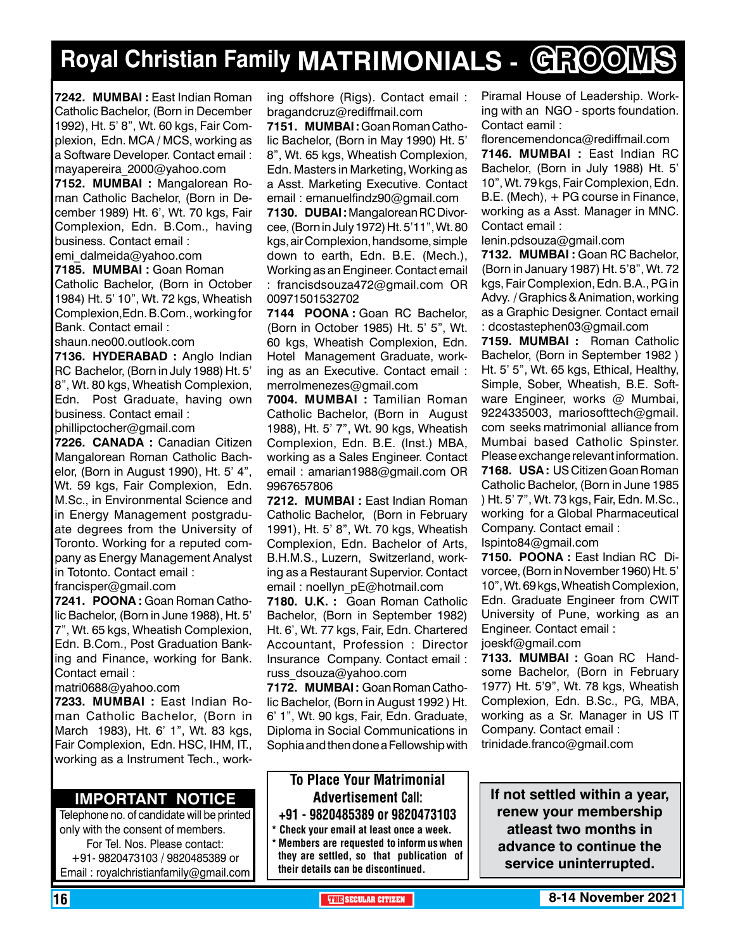# **Royal Christian Family MATRIMONIALS - GROOMS**

**7242. MUMBAI :** East Indian Roman Catholic Bachelor, (Born in December 1992), Ht. 5' 8", Wt. 60 kgs, Fair Complexion, Edn. MCA / MCS, working as a Software Developer. Contact email : mayapereira\_2000@yahoo.com

**7152. MUMBAI :** Mangalorean Roman Catholic Bachelor, (Born in December 1989) Ht. 6', Wt. 70 kgs, Fair Complexion, Edn. B.Com., having business. Contact email :

emi\_dalmeida@yahoo.com **7185. MUMBAI :** Goan Roman Catholic Bachelor, (Born in October 1984) Ht. 5' 10", Wt. 72 kgs, Wheatish Complexion,Edn. B.Com., working for Bank. Contact email :

shaun.neo00.outlook.com

**7136. HYDERABAD :** Anglo Indian RC Bachelor, (Born in July 1988) Ht. 5' 8", Wt. 80 kgs, Wheatish Complexion, Edn. Post Graduate, having own business. Contact email : phillipctocher@gmail.com

**7226. CANADA :** Canadian Citizen Mangalorean Roman Catholic Bachelor, (Born in August 1990), Ht. 5' 4", Wt. 59 kgs, Fair Complexion, Edn. M.Sc., in Environmental Science and in Energy Management postgraduate degrees from the University of Toronto. Working for a reputed company as Energy Management Analyst in Totonto. Contact email : francisper@gmail.com

**7241. POO NA :** Goan Roman Catholic Bachelor, (Born in June 1988), Ht. 5' 7", Wt. 65 kgs, Wheatish Complexion, Edn. B.Com., Post Graduation Banking and Finance, working for Bank. Contact email :

matri0688@yahoo.com

**7233. MUMBAI :** East Indian Roman Catholic Bachelor, (Born in March 1983), Ht. 6' 1", Wt. 83 kgs, Fair Complexion, Edn. HSC, IHM, IT., working as a Instrument Tech., work-

#### **Important Notice**

Telephone no. of candidate will be printed only with the consent of members. For Tel. Nos. Please contact: +91- 9820473103 / 9820485389 or Email : royalchristianfamily@gmail.com

ing offshore (Rigs). Contact email : bragandcruz@rediffmail.com

**7151. MUMBAI :** Goan Roman Catholic Bachelor, (Born in May 1990) Ht. 5' 8", Wt. 65 kgs, Wheatish Complexion, Edn. Masters in Marketing, Working as a Asst. Marketing Executive. Contact email : emanuelfindz90@gmail.com

**7130. DUBAI :** Mangalorean RC Divorcee, (Born in July 1972) Ht. 5'11", Wt. 80 kgs, air Complexion, handsome, simple down to earth, Edn. B.E. (Mech.), Working as an Engineer. Contact email : francisdsouza472@gmail.com OR 00971501532702

**7144 POONA :** Goan RC Bachelor, (Born in October 1985) Ht. 5' 5", Wt. 60 kgs, Wheatish Complexion, Edn. Hotel Management Graduate, working as an Executive. Contact email : merrolmenezes@gmail.com

**7004. MUMBAI :** Tamilian Roman Catholic Bachelor, (Born in August 1988), Ht. 5' 7", Wt. 90 kgs, Wheatish Complexion, Edn. B.E. (Inst.) MBA, working as a Sales Engineer. Contact email : amarian1988@gmail.com OR 9967657806

**7212. MUMBAI :** East Indian Roman Catholic Bachelor, (Born in February 1991), Ht. 5' 8", Wt. 70 kgs, Wheatish Complexion, Edn. Bachelor of Arts, B.H.M.S., Luzern, Switzerland, working as a Restaurant Supervior. Contact email : noellyn\_pE@hotmail.com

**7180. U.K. :** Goan Roman Catholic Bachelor, (Born in September 1982) Ht. 6', Wt. 77 kgs, Fair, Edn. Chartered Accountant, Profession : Director Insurance Company. Contact email : russ\_dsouza@yahoo.com

**7172. MUMBAI :** Goan Roman Catholic Bachelor, (Born in August 1992 ) Ht. 6' 1", Wt. 90 kgs, Fair, Edn. Graduate, Diploma in Social Communications in Sophia and then done a Fellowship with

#### To Place Your Matrimonial Advertisement Call: +91 - 9820485389 or 9820473103

Check your email at least once a week. Members are requested to inform us when they are settled, so that publication of

their details can be discontinued.

Piramal House of Leadership. Working with an NGO - sports foundation. Contact eamil :

florencemendonca@rediffmail.com **7146. MUMBAI :** East Indian RC Bachelor, (Born in July 1988) Ht. 5' 10", Wt. 79 kgs, Fair Complexion, Edn. B.E. (Mech), + PG course in Finance, working as a Asst. Manager in MNC. Contact email :

lenin.pdsouza@gmail.com

**7132. MUMBAI :** Goan RC Bachelor, (Born in January 1987) Ht. 5'8", Wt. 72 kgs, Fair Complexion, Edn. B.A., PG in Advy. / Graphics & Animation, working as a Graphic Designer. Contact email : dcostastephen03@gmail.com

**7159. MUMBAI :** Roman Catholic Bachelor, (Born in September 1982 ) Ht. 5' 5", Wt. 65 kgs, Ethical, Healthy, Simple, Sober, Wheatish, B.E. Software Engineer, works @ Mumbai, 9224335003, mariosofttech@gmail. com seeks matrimonial alliance from Mumbai based Catholic Spinster. Please exchange relevant information. **7168. USA :** US Citizen Goan Roman Catholic Bachelor, (Born in June 1985 ) Ht. 5' 7", Wt. 73 kgs, Fair, Edn. M.Sc., working for a Global Pharmaceutical Company. Contact email :

Ispinto84@gmail.com

**7150. POONA :** East Indian RC Divorcee, (Born in November 1960) Ht. 5' 10", Wt. 69 kgs, Wheatish Complexion, Edn. Graduate Engineer from CWIT University of Pune, working as an Engineer. Contact email : joeskf@gmail.com

**7133. MUMBAI :** Goan RC Handsome Bachelor, (Born in February 1977) Ht. 5'9", Wt. 78 kgs, Wheatish Complexion, Edn. B.Sc., PG, MBA, working as a Sr. Manager in US IT Company. Contact email : trinidade.franco@gmail.com

**If not settled within a year, renew your membership atleast two months in advance to continue the service uninterrupted.**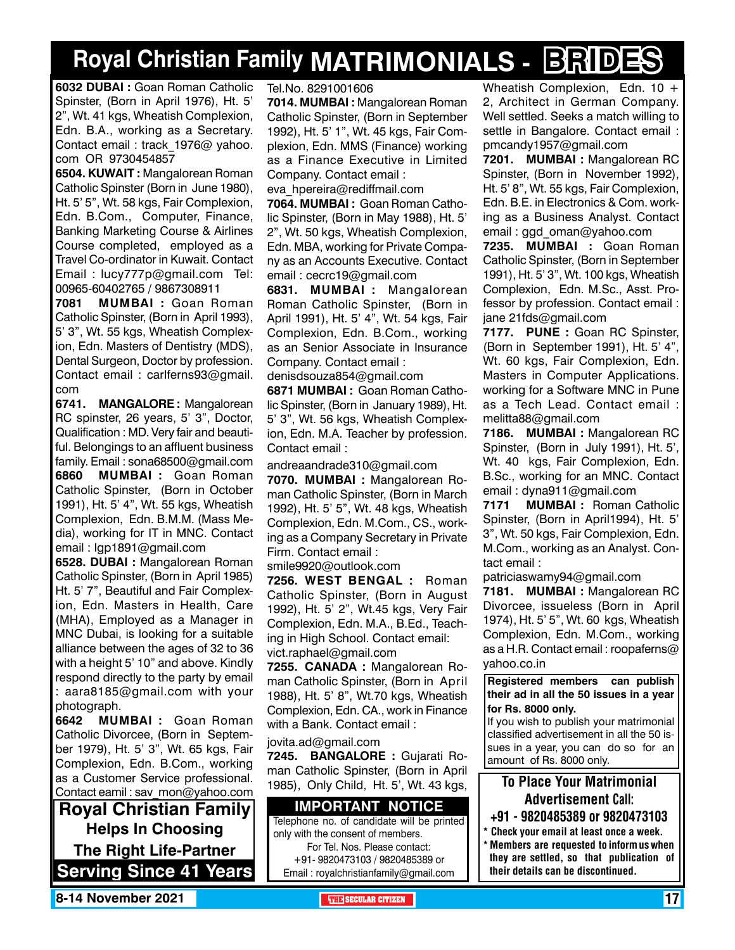# **Royal Christian Family MATRIMONIALS - BRIDES**

**6032 DUBAI :** Goan Roman Catholic Spinster, (Born in April 1976), Ht. 5' 2", Wt. 41 kgs, Wheatish Complexion, Edn. B.A., working as a Secretary. Contact email : track\_1976@ yahoo. com OR 9730454857

**6504. Kuwait :** Mangalorean Roman Catholic Spinster (Born in June 1980), Ht. 5' 5", Wt. 58 kgs, Fair Complexion, Edn. B.Com., Computer, Finance, Banking Marketing Course & Airlines Course completed, employed as a Travel Co-ordinator in Kuwait. Contact Email : lucy777p@gmail.com Tel: 00965-60402765 / 9867308911

**7081 MUMBAI :** Goan Roman Catholic Spinster, (Born in April 1993), 5' 3", Wt. 55 kgs, Wheatish Complexion, Edn. Masters of Dentistry (MDS), Dental Surgeon, Doctor by profession. Contact email : carlferns93@gmail. com

**6741. MANGALORE :** Mangalorean RC spinster, 26 years, 5' 3", Doctor, Qualification : MD. Very fair and beautiful. Belongings to an affluent business family. Email : sona68500@gmail.com **6860 MUMBAI :** Goan Roman Catholic Spinster, (Born in October 1991), Ht. 5' 4", Wt. 55 kgs, Wheatish Complexion, Edn. B.M.M. (Mass Media), working for IT in MNC. Contact email : lgp1891@gmail.com

**6528. DUBAI :** Mangalorean Roman Catholic Spinster, (Born in April 1985) Ht. 5' 7", Beautiful and Fair Complexion, Edn. Masters in Health, Care (MHA), Employed as a Manager in MNC Dubai, is looking for a suitable alliance between the ages of 32 to 36 with a height 5' 10" and above. Kindly respond directly to the party by email : aara8185@gmail.com with your photograph.

**6642 MUMBAI :** Goan Roman Catholic Divorcee, (Born in September 1979), Ht. 5' 3", Wt. 65 kgs, Fair Complexion, Edn. B.Com., working as a Customer Service professional. Contact eamil : sav mon@yahoo.com

**Royal Christian Family Helps In Choosing The Right Life-Partner Serving Since 41 Years** Tel.No. 8291001606

**7014. MUMBAI :** Mangalorean Roman Catholic Spinster, (Born in September 1992), Ht. 5' 1", Wt. 45 kgs, Fair Complexion, Edn. MMS (Finance) working as a Finance Executive in Limited Company. Contact email :

eva\_hpereira@rediffmail.com

**7064. MUMBAI :** Goan Roman Catholic Spinster, (Born in May 1988), Ht. 5' 2", Wt. 50 kgs, Wheatish Complexion, Edn. MBA, working for Private Company as an Accounts Executive. Contact email : cecrc19@gmail.com

**6831. MUMBAI :** Mangalorean Roman Catholic Spinster, (Born in April 1991), Ht. 5' 4", Wt. 54 kgs, Fair Complexion, Edn. B.Com., working as an Senior Associate in Insurance Company. Contact email :

denisdsouza854@gmail.com **6871 MUMBAI :** Goan Roman Catholic Spinster, (Born in January 1989), Ht. 5' 3", Wt. 56 kgs, Wheatish Complexion, Edn. M.A. Teacher by profession. Contact email :

andreaandrade310@gmail.com

**7070. MUMBAI :** Mangalorean Roman Catholic Spinster, (Born in March 1992), Ht. 5' 5", Wt. 48 kgs, Wheatish Complexion, Edn. M.Com., CS., working as a Company Secretary in Private Firm. Contact email :

smile9920@outlook.com

**7256. West Bengal :** Roman Catholic Spinster, (Born in August 1992), Ht. 5' 2", Wt.45 kgs, Very Fair Complexion, Edn. M.A., B.Ed., Teaching in High School. Contact email: vict.raphael@gmail.com

**7255. canada :** Mangalorean Roman Catholic Spinster, (Born in April 1988), Ht. 5' 8", Wt.70 kgs, Wheatish Complexion, Edn. CA., work in Finance with a Bank. Contact email :

#### jovita.ad@gmail.com

**7245. BANGALORE :** Gujarati Roman Catholic Spinster, (Born in April 1985), Only Child, Ht. 5', Wt. 43 kgs,

#### **Important Notice**

Telephone no. of candidate will be printed only with the consent of members. For Tel. Nos. Please contact:

+91- 9820473103 / 9820485389 or Email : royalchristianfamily@gmail.com Wheatish Complexion, Edn. 10 + 2, Architect in German Company. Well settled. Seeks a match willing to settle in Bangalore. Contact email : pmcandy1957@gmail.com

**7201. MUMBAI :** Mangalorean RC Spinster, (Born in November 1992), Ht. 5' 8", Wt. 55 kgs, Fair Complexion, Edn. B.E. in Electronics & Com. working as a Business Analyst. Contact email : ggd\_oman@yahoo.com

**7235. MUMBAI :** Goan Roman Catholic Spinster, (Born in September 1991), Ht. 5' 3", Wt. 100 kgs, Wheatish Complexion, Edn. M.Sc., Asst. Professor by profession. Contact email : jane 21fds@gmail.com

**7177. PUNE :** Goan RC Spinster, (Born in September 1991), Ht. 5' 4", Wt. 60 kgs, Fair Complexion, Edn. Masters in Computer Applications. working for a Software MNC in Pune as a Tech Lead. Contact email : melitta88@gmail.com

**7186. MUMBAI :** Mangalorean RC Spinster, (Born in July 1991), Ht. 5', Wt. 40 kgs, Fair Complexion, Edn. B.Sc., working for an MNC. Contact email : dyna911@gmail.com

**7171 MUMBAI :** Roman Catholic Spinster, (Born in April1994), Ht. 5' 3", Wt. 50 kgs, Fair Complexion, Edn. M.Com., working as an Analyst. Contact email :

patriciaswamy94@gmail.com

**7181. MUMBAI :** Mangalorean RC Divorcee, issueless (Born in April 1974), Ht. 5' 5", Wt. 60 kgs, Wheatish Complexion, Edn. M.Com., working as a H.R. Contact email : roopaferns@ yahoo.co.in

**Registered members can publish their ad in all the 50 issues in a year for Rs. 8000 only.**

If you wish to publish your matrimonial classified advertisement in all the 50 issues in a year, you can do so for an amount of Rs. 8000 only.

### To Place Your Matrimonial Advertisement Call:

- +91 9820485389 or 9820473103
- \* Check your email at least once a week. \* Members are requested to inform us when they are settled, so that publication of their details can be discontinued.

**8-14 November 2021 The Secular Citizen 17 SECULAR CITIZEN** 17 And 2014 **The SECULAR CITIZEN** 17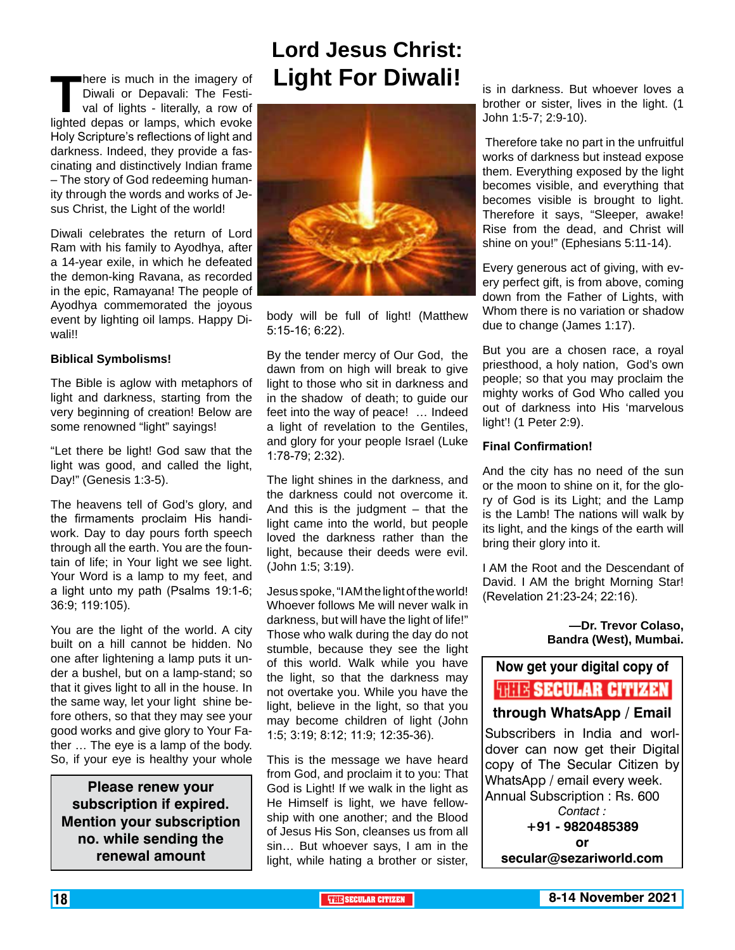**There is much in the imagery of<br>Diwali or Depavali: The Festi-<br>val of lights - literally, a row of<br>lighted depas or lamps, which evoke** Diwali or Depavali: The Festival of lights - literally, a row of lighted depas or lamps, which evoke Holy Scripture's reflections of light and darkness. Indeed, they provide a fascinating and distinctively Indian frame – The story of God redeeming humanity through the words and works of Jesus Christ, the Light of the world!

Diwali celebrates the return of Lord Ram with his family to Ayodhya, after a 14-year exile, in which he defeated the demon-king Ravana, as recorded in the epic, Ramayana! The people of Ayodhya commemorated the joyous event by lighting oil lamps. Happy Diwali!!

#### **Biblical Symbolisms!**

The Bible is aglow with metaphors of light and darkness, starting from the very beginning of creation! Below are some renowned "light" sayings!

"Let there be light! God saw that the light was good, and called the light, Day!" (Genesis 1:3-5).

The heavens tell of God's glory, and the firmaments proclaim His handiwork. Day to day pours forth speech through all the earth. You are the fountain of life; in Your light we see light. Your Word is a lamp to my feet, and a light unto my path (Psalms 19:1-6; 36:9; 119:105).

You are the light of the world. A city built on a hill cannot be hidden. No one after lightening a lamp puts it under a bushel, but on a lamp-stand; so that it gives light to all in the house. In the same way, let your light shine before others, so that they may see your good works and give glory to Your Father … The eye is a lamp of the body. So, if your eye is healthy your whole

**Please renew your subscription if expired. Mention your subscription no. while sending the renewal amount**

# **Lord Jesus Christ: Light For Diwali!**



body will be full of light! (Matthew 5:15-16; 6:22).

By the tender mercy of Our God, the dawn from on high will break to give light to those who sit in darkness and in the shadow of death; to guide our feet into the way of peace! … Indeed a light of revelation to the Gentiles, and glory for your people Israel (Luke 1:78-79; 2:32).

The light shines in the darkness, and the darkness could not overcome it. And this is the judgment  $-$  that the light came into the world, but people loved the darkness rather than the light, because their deeds were evil. (John 1:5; 3:19).

Jesus spoke, "I AM the light of the world! Whoever follows Me will never walk in darkness, but will have the light of life!" Those who walk during the day do not stumble, because they see the light of this world. Walk while you have the light, so that the darkness may not overtake you. While you have the light, believe in the light, so that you may become children of light (John 1:5; 3:19; 8:12; 11:9; 12:35-36).

This is the message we have heard from God, and proclaim it to you: That God is Light! If we walk in the light as He Himself is light, we have fellowship with one another; and the Blood of Jesus His Son, cleanses us from all sin… But whoever says, I am in the light, while hating a brother or sister, is in darkness. But whoever loves a brother or sister, lives in the light. (1 John 1:5-7; 2:9-10).

 Therefore take no part in the unfruitful works of darkness but instead expose them. Everything exposed by the light becomes visible, and everything that becomes visible is brought to light. Therefore it says, "Sleeper, awake! Rise from the dead, and Christ will shine on you!" (Ephesians 5:11-14).

Every generous act of giving, with every perfect gift, is from above, coming down from the Father of Lights, with Whom there is no variation or shadow due to change (James 1:17).

But you are a chosen race, a royal priesthood, a holy nation, God's own people; so that you may proclaim the mighty works of God Who called you out of darkness into His 'marvelous light'! (1 Peter 2:9).

#### **Final Confirmation!**

And the city has no need of the sun or the moon to shine on it, for the glory of God is its Light; and the Lamp is the Lamb! The nations will walk by its light, and the kings of the earth will bring their glory into it.

I AM the Root and the Descendant of David. I AM the bright Morning Star! (Revelation 21:23-24; 22:16).

> **—Dr. Trevor Colaso, Bandra (West), Mumbai.**

#### **Now get your digital copy of**



**through WhatsApp / Email**

Subscribers in India and worldover can now get their Digital copy of The Secular Citizen by WhatsApp / email every week. Annual Subscription : Rs. 600 *Contact :*

**+91 - 9820485389 or secular@sezariworld.com**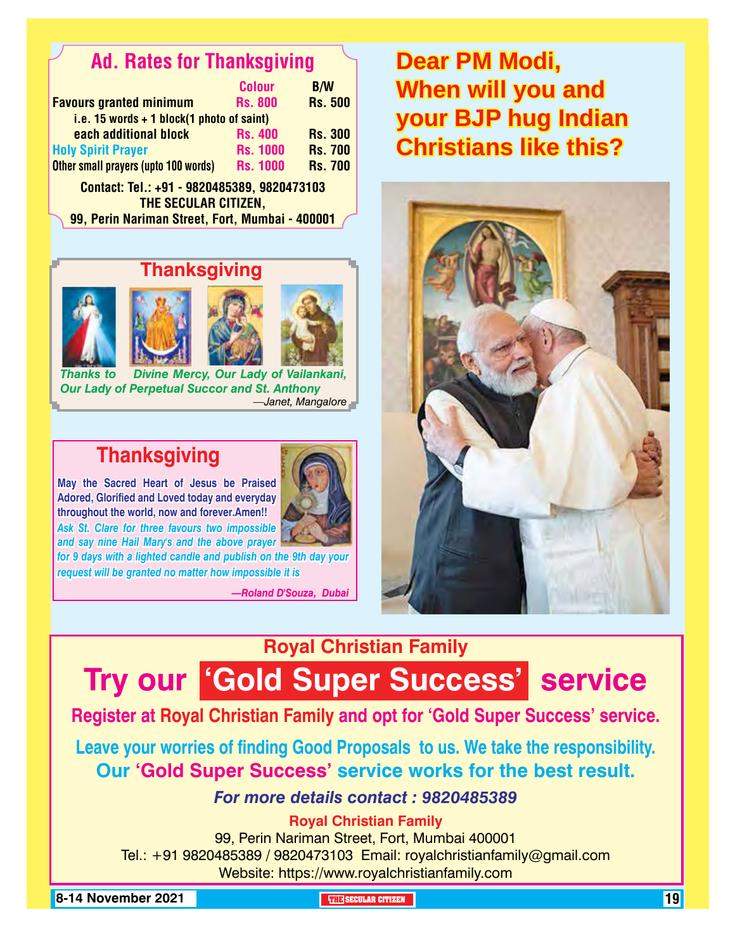# Ad. Rates for Thanksgiving

|                                             | <b>Colour</b>   | <b>B/W</b>     |
|---------------------------------------------|-----------------|----------------|
| <b>Favours granted minimum</b>              | <b>Rs. 800</b>  | <b>Rs. 500</b> |
| i.e. 15 words $+$ 1 block(1 photo of saint) |                 |                |
| each additional block                       | <b>Rs. 400</b>  | <b>Rs. 300</b> |
| <b>Holy Spirit Prayer</b>                   | <b>Rs. 1000</b> | <b>Rs. 700</b> |
| Other small prayers (upto 100 words)        | <b>Rs. 1000</b> | <b>Rs. 700</b> |
| Contact: Tel.: +91 - 9820485389, 9820473103 |                 |                |

THE SECULAR CITIZEN. 99, Perin Nariman Street, Fort, Mumbai - 400001

### **Thanksgiving**







*Thanks to Divine Mercy, Our Lady of Vailankani, Our Lady of Perpetual Succor and St. Anthony —Janet, Mangalore*

# **Thanksgiving**

**May the Sacred Heart of Jesus be Praised Adored, Glorified and Loved today and everyday throughout the world, now and forever.Amen!!** *Ask St. Clare for three favours two impossible* 

*for 9 days with a lighted candle and publish on the 9th day your and say nine Hail Mary's and the above prayer* 

*request will be granted no matter how impossible it is*

*—Roland D'Souza, Dubai*

# **Dear PM Modi, When will you and your BJP hug Indian Christians like this?**



# **Royal Christian Family**

# **Try our 'Gold Super Success' service**

### **Register at Royal Christian Family and opt for 'Gold Super Success' service.**

**Leave your worries of finding Good Proposals to us. We take the responsibility. Our 'Gold Super Success' service works for the best result.**

### *For more details contact : 9820485389*

### **Royal Christian Family**

99, Perin Nariman Street, Fort, Mumbai 400001 Tel.: +91 9820485389 / 9820473103 Email: royalchristianfamily@gmail.com Website: https://www.royalchristianfamily.com

**8-14 November 2021 The Security of the SECULAR CITIZEN THE SECULAR CITIZEN THE THE SECULAR CITIZEN THE**